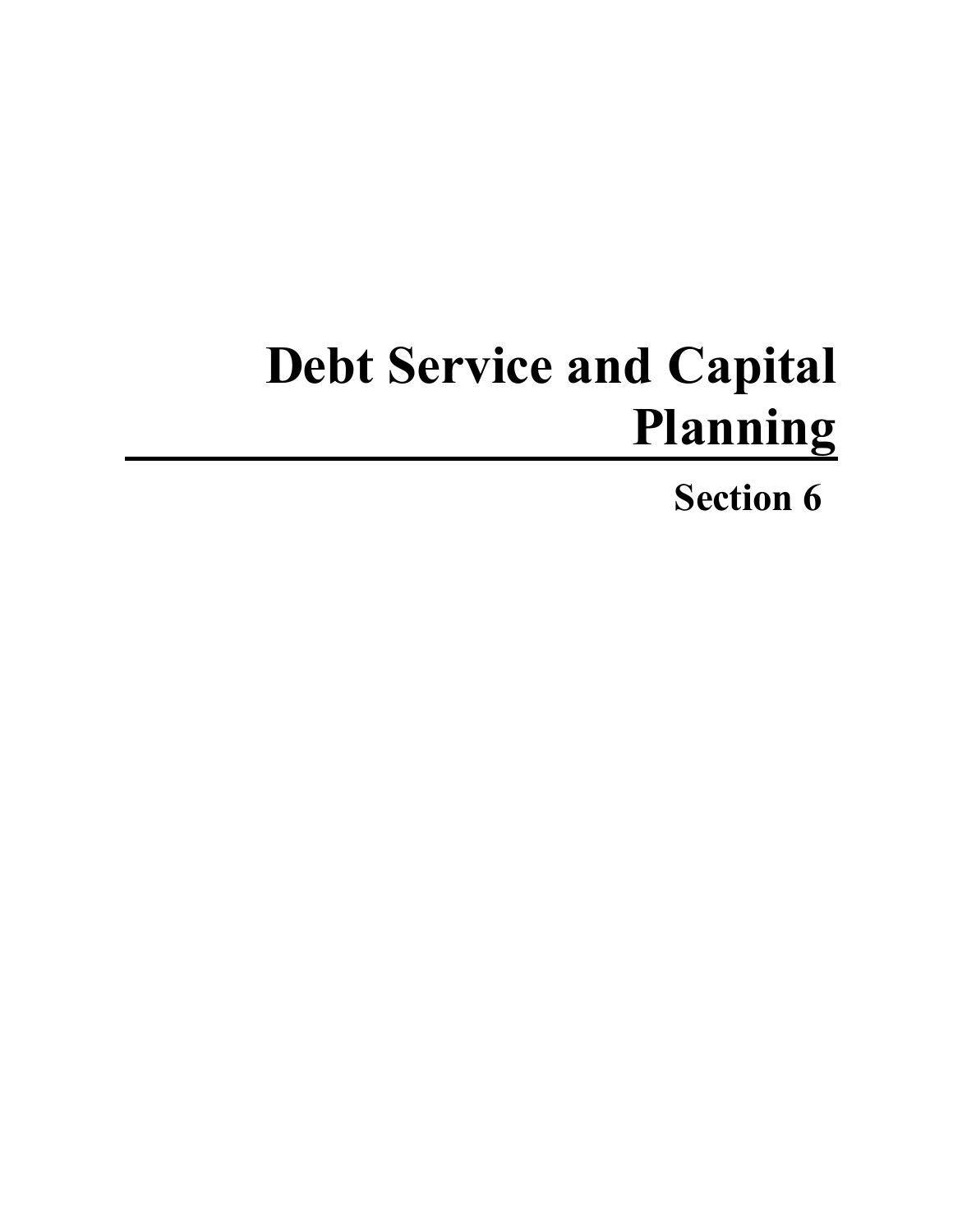# **Debt Service and Capital Planning**

**Section 6**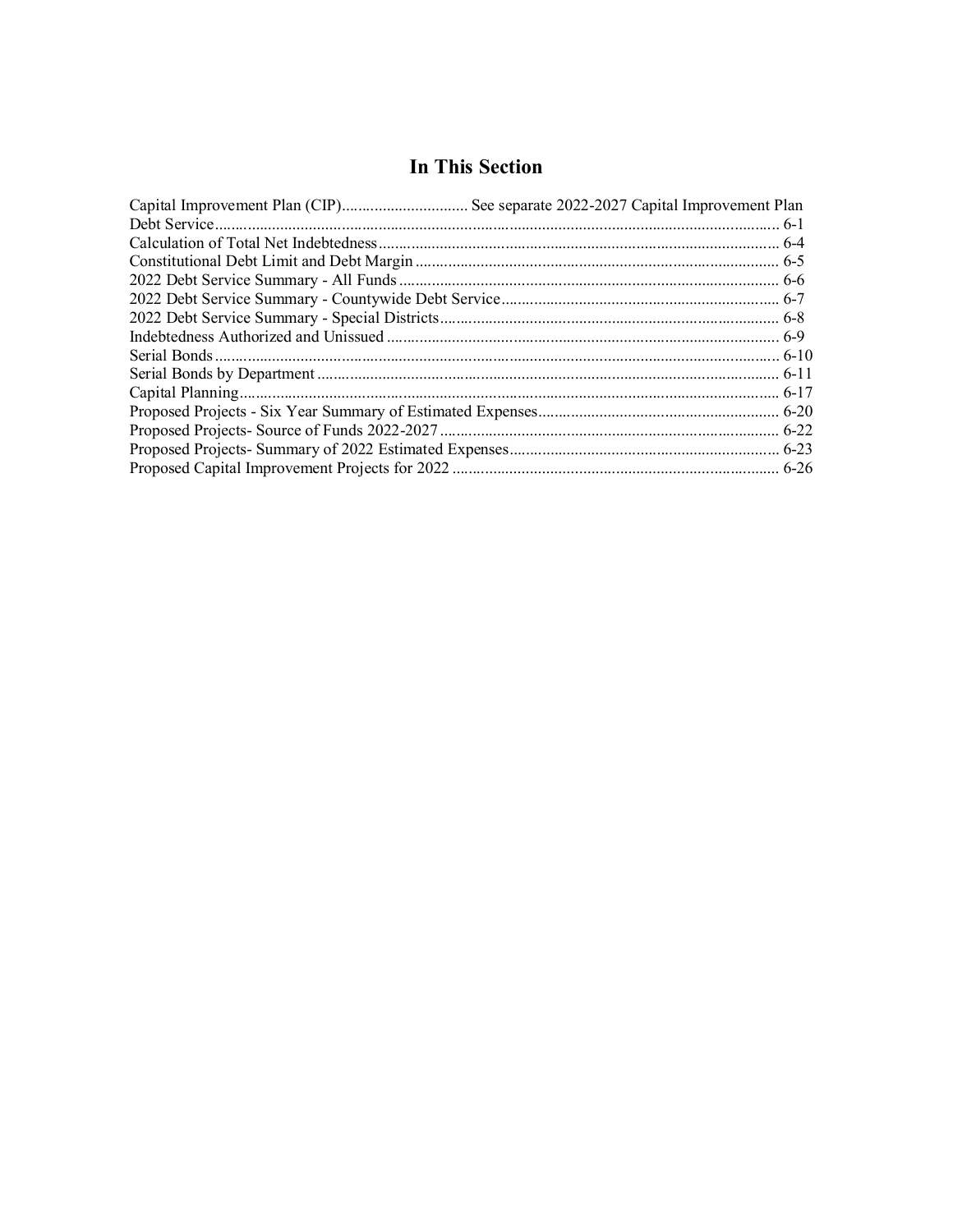### **In This Section**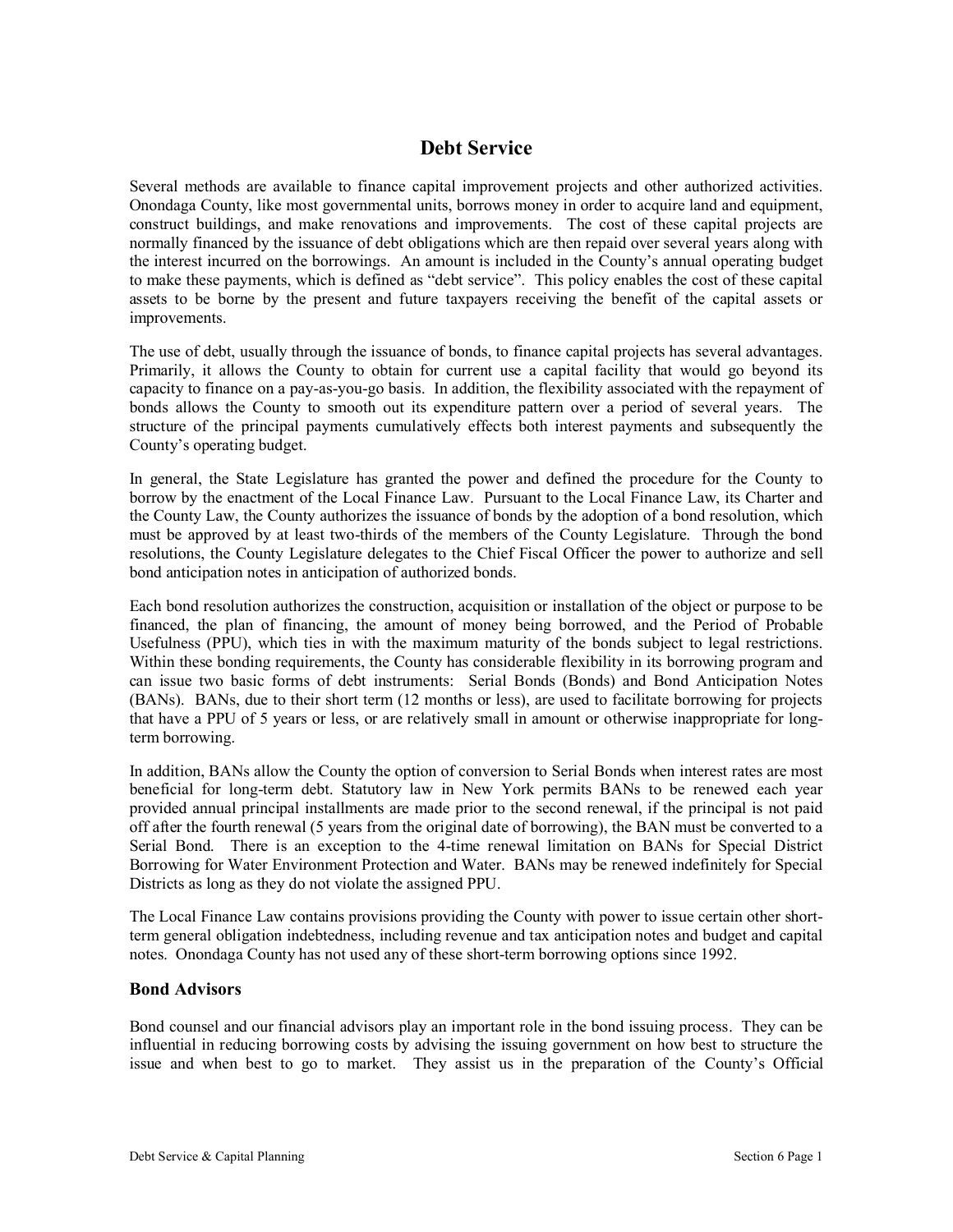### **Debt Service**

Several methods are available to finance capital improvement projects and other authorized activities. Onondaga County, like most governmental units, borrows money in order to acquire land and equipment, construct buildings, and make renovations and improvements. The cost of these capital projects are normally financed by the issuance of debt obligations which are then repaid over several years along with the interest incurred on the borrowings. An amount is included in the County's annual operating budget to make these payments, which is defined as "debt service". This policy enables the cost of these capital assets to be borne by the present and future taxpayers receiving the benefit of the capital assets or improvements.

The use of debt, usually through the issuance of bonds, to finance capital projects has several advantages. Primarily, it allows the County to obtain for current use a capital facility that would go beyond its capacity to finance on a pay-as-you-go basis. In addition, the flexibility associated with the repayment of bonds allows the County to smooth out its expenditure pattern over a period of several years. The structure of the principal payments cumulatively effects both interest payments and subsequently the County's operating budget.

In general, the State Legislature has granted the power and defined the procedure for the County to borrow by the enactment of the Local Finance Law. Pursuant to the Local Finance Law, its Charter and the County Law, the County authorizes the issuance of bonds by the adoption of a bond resolution, which must be approved by at least two-thirds of the members of the County Legislature. Through the bond resolutions, the County Legislature delegates to the Chief Fiscal Officer the power to authorize and sell bond anticipation notes in anticipation of authorized bonds.

Each bond resolution authorizes the construction, acquisition or installation of the object or purpose to be financed, the plan of financing, the amount of money being borrowed, and the Period of Probable Usefulness (PPU), which ties in with the maximum maturity of the bonds subject to legal restrictions. Within these bonding requirements, the County has considerable flexibility in its borrowing program and can issue two basic forms of debt instruments: Serial Bonds (Bonds) and Bond Anticipation Notes (BANs). BANs, due to their short term (12 months or less), are used to facilitate borrowing for projects that have a PPU of 5 years or less, or are relatively small in amount or otherwise inappropriate for longterm borrowing.

In addition, BANs allow the County the option of conversion to Serial Bonds when interest rates are most beneficial for long-term debt. Statutory law in New York permits BANs to be renewed each year provided annual principal installments are made prior to the second renewal, if the principal is not paid off after the fourth renewal (5 years from the original date of borrowing), the BAN must be converted to a Serial Bond. There is an exception to the 4-time renewal limitation on BANs for Special District Borrowing for Water Environment Protection and Water. BANs may be renewed indefinitely for Special Districts as long as they do not violate the assigned PPU.

The Local Finance Law contains provisions providing the County with power to issue certain other shortterm general obligation indebtedness, including revenue and tax anticipation notes and budget and capital notes. Onondaga County has not used any of these short-term borrowing options since 1992.

#### **Bond Advisors**

Bond counsel and our financial advisors play an important role in the bond issuing process. They can be influential in reducing borrowing costs by advising the issuing government on how best to structure the issue and when best to go to market. They assist us in the preparation of the County's Official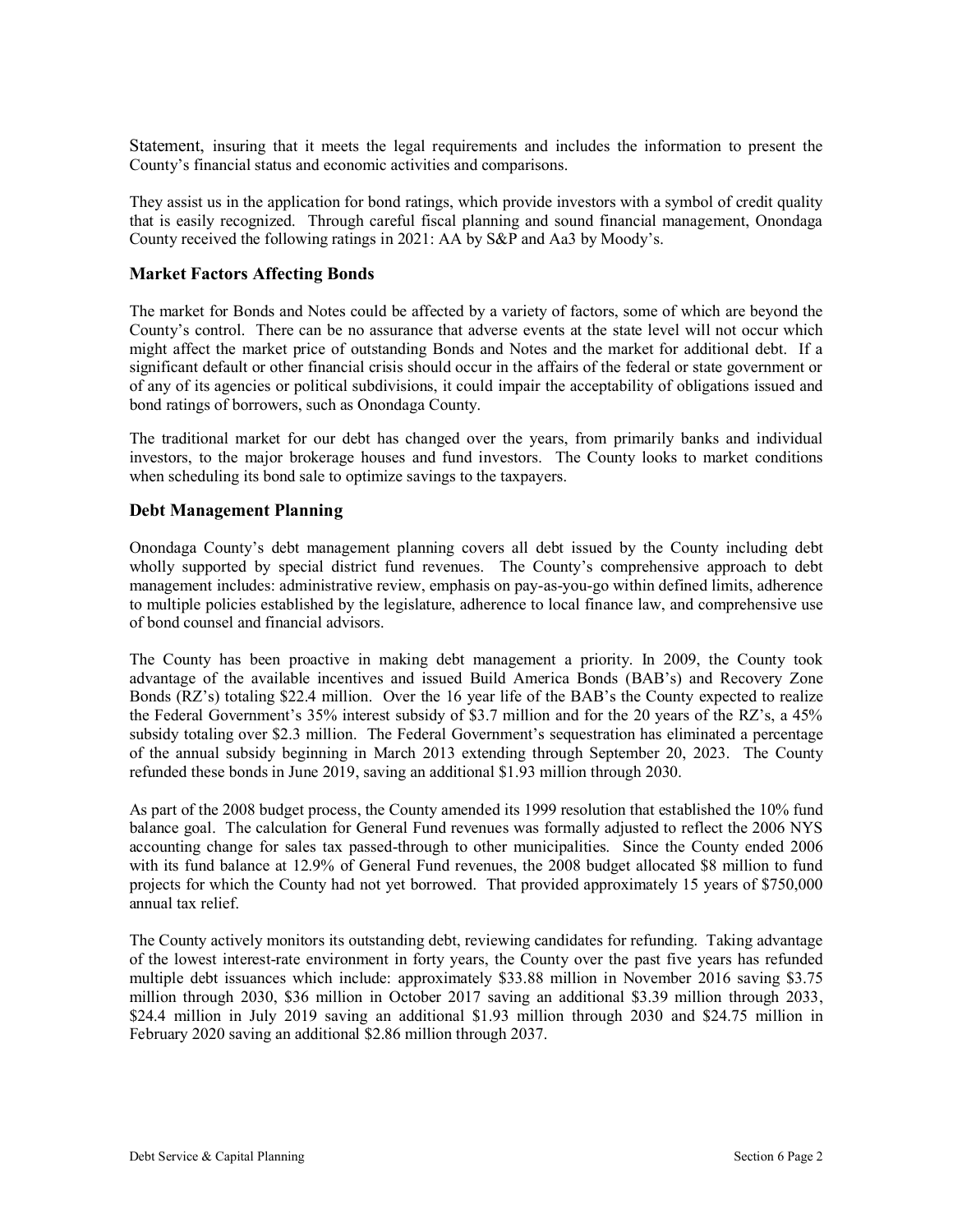Statement, insuring that it meets the legal requirements and includes the information to present the County's financial status and economic activities and comparisons.

They assist us in the application for bond ratings, which provide investors with a symbol of credit quality that is easily recognized. Through careful fiscal planning and sound financial management, Onondaga County received the following ratings in 2021: AA by S&P and Aa3 by Moody's.

#### **Market Factors Affecting Bonds**

The market for Bonds and Notes could be affected by a variety of factors, some of which are beyond the County's control. There can be no assurance that adverse events at the state level will not occur which might affect the market price of outstanding Bonds and Notes and the market for additional debt. If a significant default or other financial crisis should occur in the affairs of the federal or state government or of any of its agencies or political subdivisions, it could impair the acceptability of obligations issued and bond ratings of borrowers, such as Onondaga County.

The traditional market for our debt has changed over the years, from primarily banks and individual investors, to the major brokerage houses and fund investors. The County looks to market conditions when scheduling its bond sale to optimize savings to the taxpayers.

#### **Debt Management Planning**

Onondaga County's debt management planning covers all debt issued by the County including debt wholly supported by special district fund revenues. The County's comprehensive approach to debt management includes: administrative review, emphasis on pay-as-you-go within defined limits, adherence to multiple policies established by the legislature, adherence to local finance law, and comprehensive use of bond counsel and financial advisors.

The County has been proactive in making debt management a priority. In 2009, the County took advantage of the available incentives and issued Build America Bonds (BAB's) and Recovery Zone Bonds (RZ's) totaling \$22.4 million. Over the 16 year life of the BAB's the County expected to realize the Federal Government's 35% interest subsidy of \$3.7 million and for the 20 years of the RZ's, a 45% subsidy totaling over \$2.3 million. The Federal Government's sequestration has eliminated a percentage of the annual subsidy beginning in March 2013 extending through September 20, 2023. The County refunded these bonds in June 2019, saving an additional \$1.93 million through 2030.

As part of the 2008 budget process, the County amended its 1999 resolution that established the 10% fund balance goal. The calculation for General Fund revenues was formally adjusted to reflect the 2006 NYS accounting change for sales tax passed-through to other municipalities. Since the County ended 2006 with its fund balance at 12.9% of General Fund revenues, the 2008 budget allocated \$8 million to fund projects for which the County had not yet borrowed. That provided approximately 15 years of \$750,000 annual tax relief.

The County actively monitors its outstanding debt, reviewing candidates for refunding. Taking advantage of the lowest interest-rate environment in forty years, the County over the past five years has refunded multiple debt issuances which include: approximately \$33.88 million in November 2016 saving \$3.75 million through 2030, \$36 million in October 2017 saving an additional \$3.39 million through 2033, \$24.4 million in July 2019 saving an additional \$1.93 million through 2030 and \$24.75 million in February 2020 saving an additional \$2.86 million through 2037.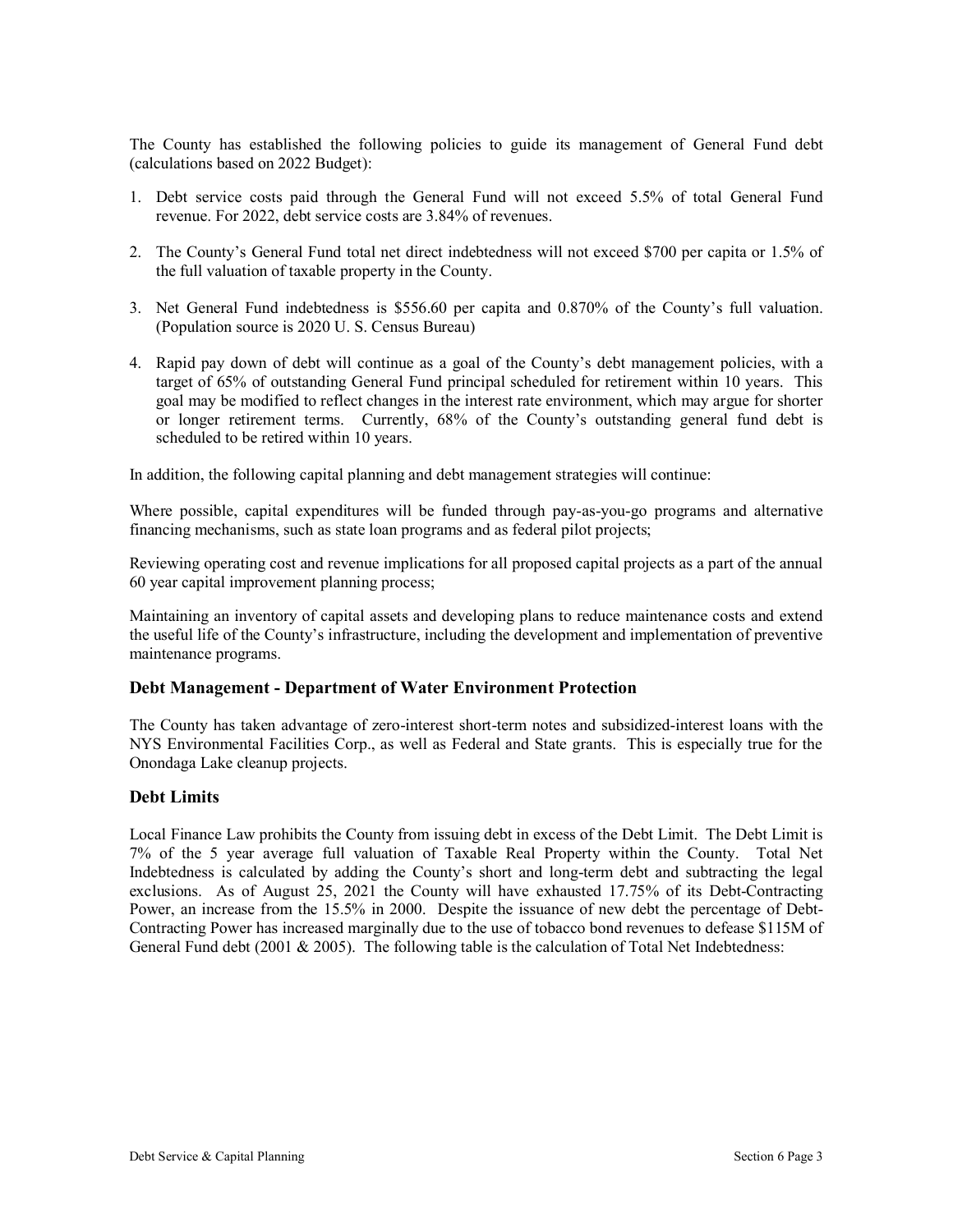The County has established the following policies to guide its management of General Fund debt (calculations based on 2022 Budget):

- 1. Debt service costs paid through the General Fund will not exceed 5.5% of total General Fund revenue. For 2022, debt service costs are 3.84% of revenues.
- 2. The County's General Fund total net direct indebtedness will not exceed \$700 per capita or 1.5% of the full valuation of taxable property in the County.
- 3. Net General Fund indebtedness is \$556.60 per capita and 0.870% of the County's full valuation. (Population source is 2020 U. S. Census Bureau)
- 4. Rapid pay down of debt will continue as a goal of the County's debt management policies, with a target of 65% of outstanding General Fund principal scheduled for retirement within 10 years. This goal may be modified to reflect changes in the interest rate environment, which may argue for shorter or longer retirement terms. Currently, 68% of the County's outstanding general fund debt is scheduled to be retired within 10 years.

In addition, the following capital planning and debt management strategies will continue:

Where possible, capital expenditures will be funded through pay-as-you-go programs and alternative financing mechanisms, such as state loan programs and as federal pilot projects;

Reviewing operating cost and revenue implications for all proposed capital projects as a part of the annual 60 year capital improvement planning process;

Maintaining an inventory of capital assets and developing plans to reduce maintenance costs and extend the useful life of the County's infrastructure, including the development and implementation of preventive maintenance programs.

#### **Debt Management - Department of Water Environment Protection**

The County has taken advantage of zero-interest short-term notes and subsidized-interest loans with the NYS Environmental Facilities Corp., as well as Federal and State grants. This is especially true for the Onondaga Lake cleanup projects.

#### **Debt Limits**

Local Finance Law prohibits the County from issuing debt in excess of the Debt Limit. The Debt Limit is 7% of the 5 year average full valuation of Taxable Real Property within the County. Total Net Indebtedness is calculated by adding the County's short and long-term debt and subtracting the legal exclusions. As of August 25, 2021 the County will have exhausted 17.75% of its Debt-Contracting Power, an increase from the 15.5% in 2000. Despite the issuance of new debt the percentage of Debt-Contracting Power has increased marginally due to the use of tobacco bond revenues to defease \$115M of General Fund debt (2001 & 2005). The following table is the calculation of Total Net Indebtedness: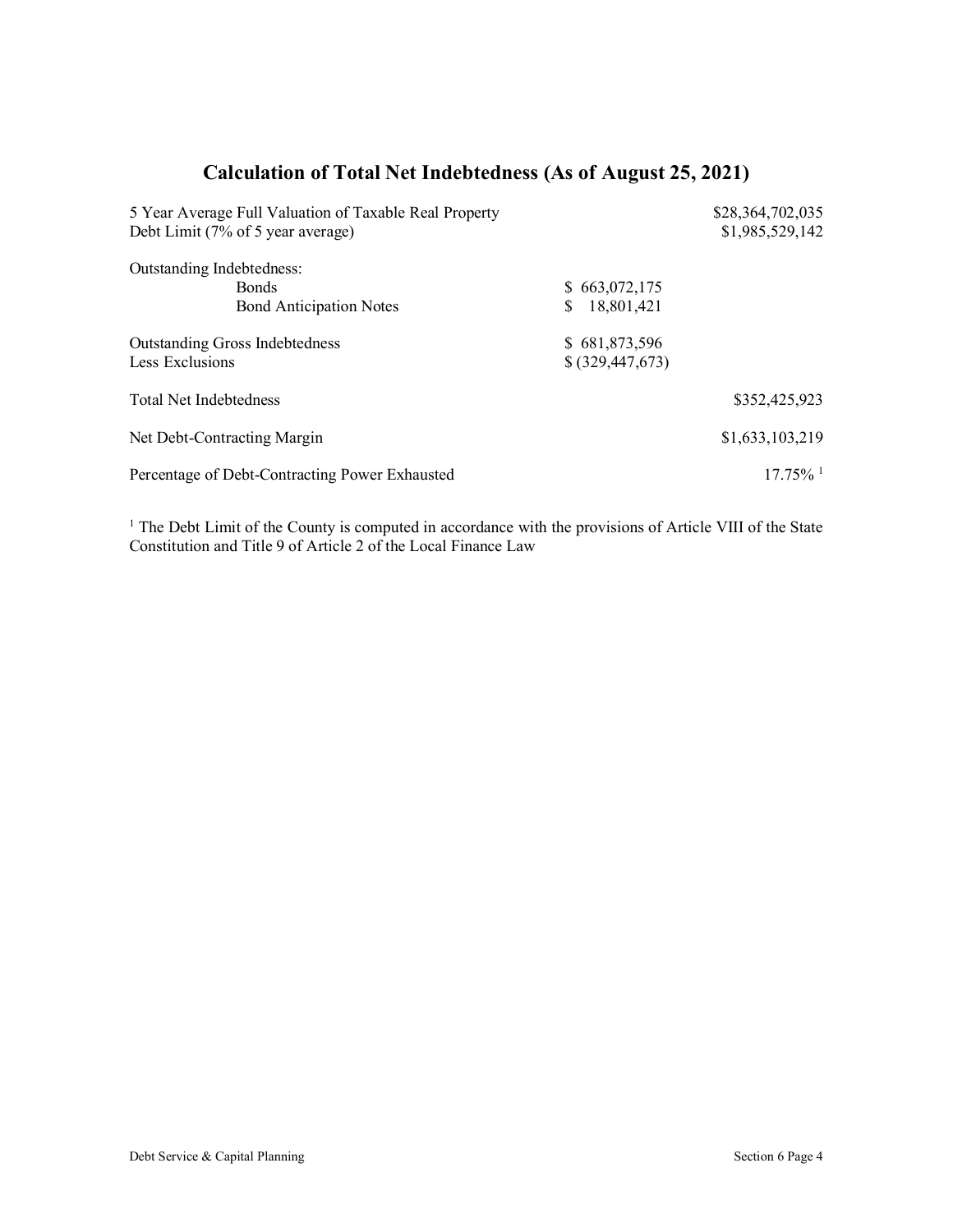### **Calculation of Total Net Indebtedness (As of August 25, 2021)**

| 5 Year Average Full Valuation of Taxable Real Property |                    | \$28,364,702,035       |  |
|--------------------------------------------------------|--------------------|------------------------|--|
| Debt Limit (7% of 5 year average)                      | \$1,985,529,142    |                        |  |
| <b>Outstanding Indebtedness:</b>                       |                    |                        |  |
| <b>Bonds</b>                                           | \$663,072,175      |                        |  |
| <b>Bond Anticipation Notes</b>                         | 18,801,421         |                        |  |
| <b>Outstanding Gross Indebtedness</b>                  | \$681,873,596      |                        |  |
| Less Exclusions                                        | \$ (329, 447, 673) |                        |  |
| <b>Total Net Indebtedness</b>                          |                    | \$352,425,923          |  |
| Net Debt-Contracting Margin                            |                    | \$1,633,103,219        |  |
| Percentage of Debt-Contracting Power Exhausted         |                    | $17.75\%$ <sup>1</sup> |  |

<sup>1</sup> The Debt Limit of the County is computed in accordance with the provisions of Article VIII of the State Constitution and Title 9 of Article 2 of the Local Finance Law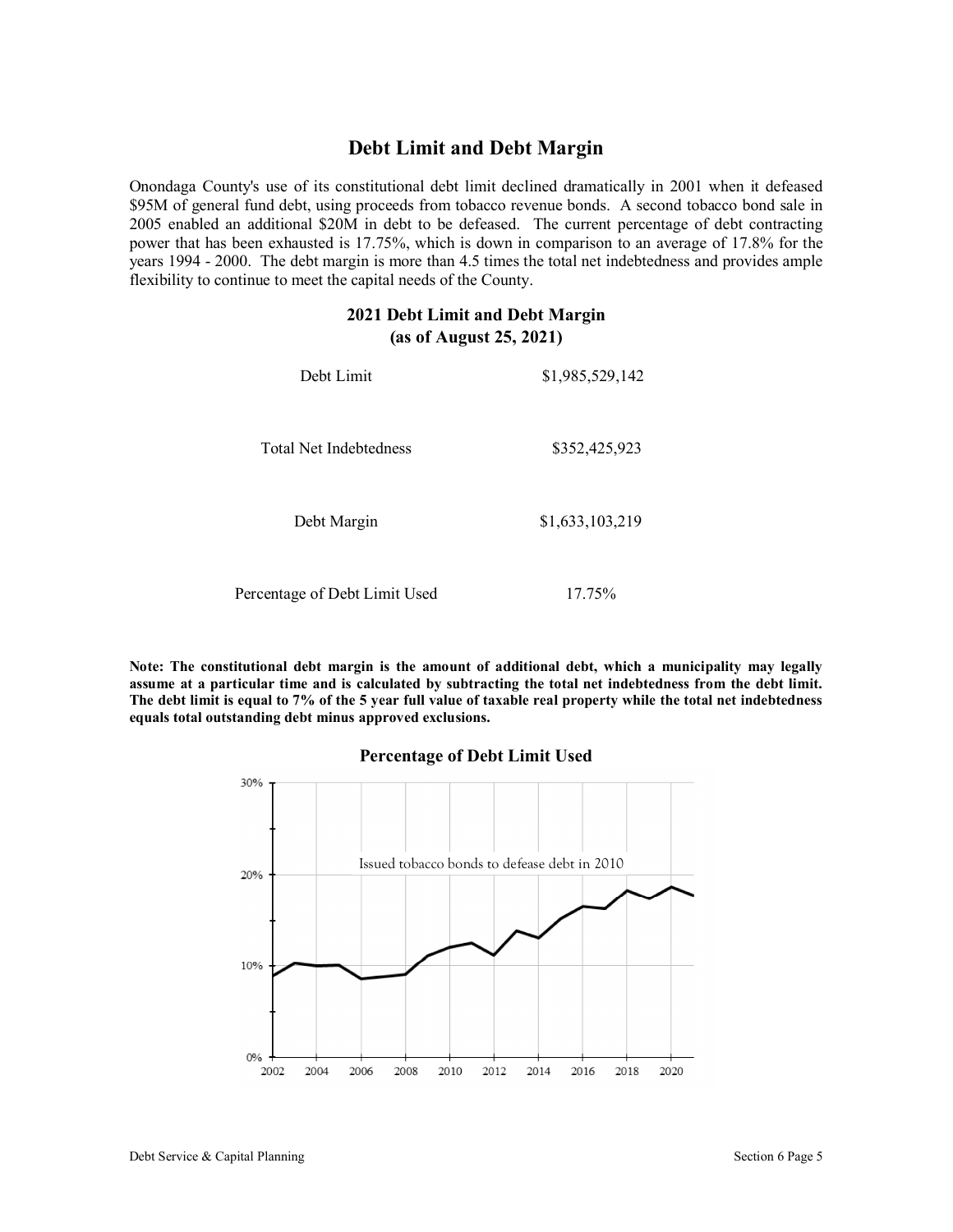### **Debt Limit and Debt Margin**

Onondaga County's use of its constitutional debt limit declined dramatically in 2001 when it defeased \$95M of general fund debt, using proceeds from tobacco revenue bonds. A second tobacco bond sale in 2005 enabled an additional \$20M in debt to be defeased. The current percentage of debt contracting power that has been exhausted is 17.75%, which is down in comparison to an average of 17.8% for the years 1994 - 2000. The debt margin is more than 4.5 times the total net indebtedness and provides ample flexibility to continue to meet the capital needs of the County.

#### **2021 Debt Limit and Debt Margin (as of August 25, 2021)**

| Debt Limit                    | \$1,985,529,142 |
|-------------------------------|-----------------|
| Total Net Indebtedness        | \$352,425,923   |
| Debt Margin                   | \$1,633,103,219 |
| Percentage of Debt Limit Used | 17.75%          |

**Note: The constitutional debt margin is the amount of additional debt, which a municipality may legally assume at a particular time and is calculated by subtracting the total net indebtedness from the debt limit. The debt limit is equal to 7% of the 5 year full value of taxable real property while the total net indebtedness equals total outstanding debt minus approved exclusions.** 

#### **Percentage of Debt Limit Used**

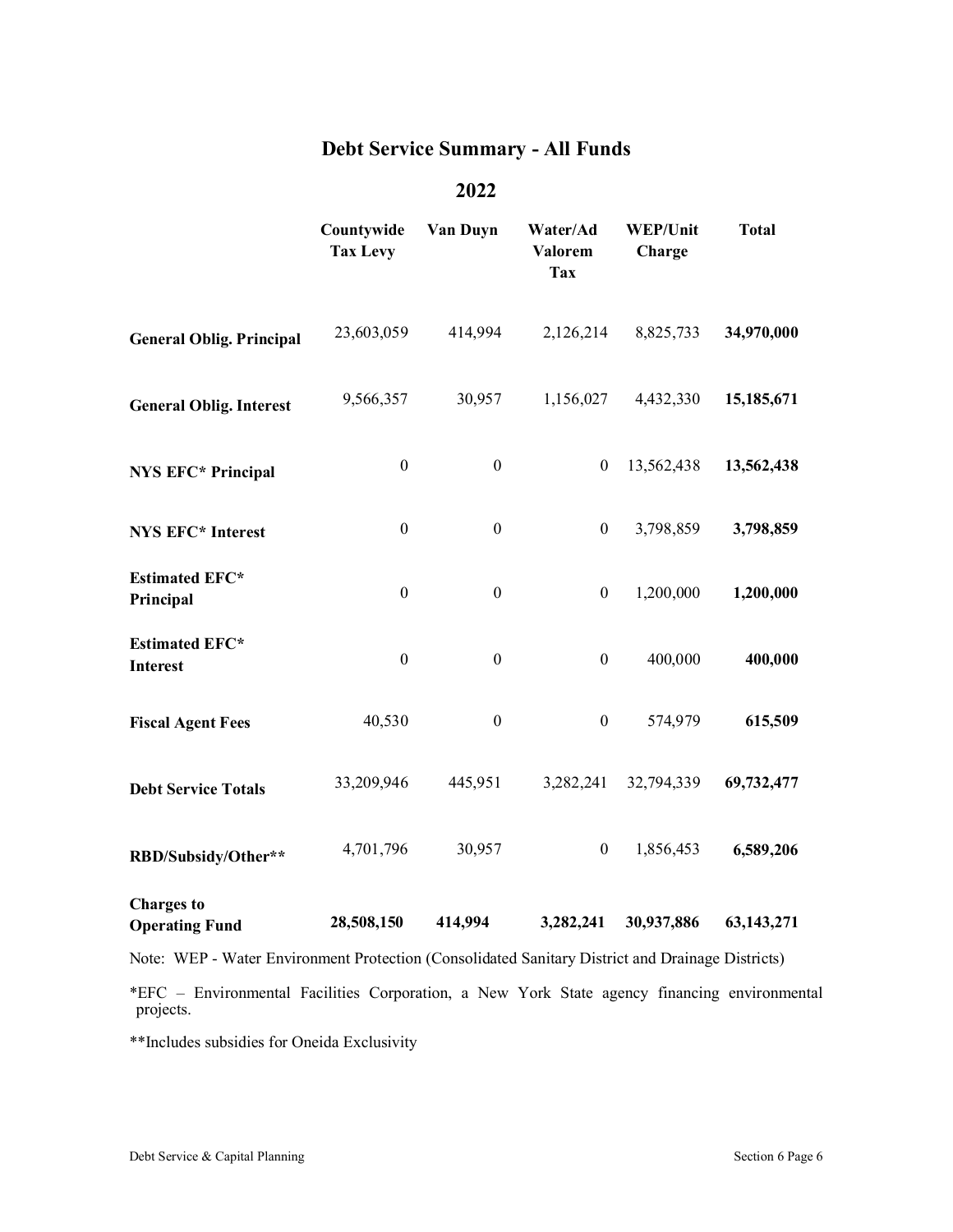### **Debt Service Summary - All Funds**

**2022** 

|                                            | Countywide<br><b>Tax Levy</b> | Van Duyn         | Water/Ad<br><b>Valorem</b><br><b>Tax</b> | <b>WEP/Unit</b><br>Charge | <b>Total</b> |
|--------------------------------------------|-------------------------------|------------------|------------------------------------------|---------------------------|--------------|
| <b>General Oblig. Principal</b>            | 23,603,059                    | 414,994          | 2,126,214                                | 8,825,733                 | 34,970,000   |
| <b>General Oblig. Interest</b>             | 9,566,357                     | 30,957           | 1,156,027                                | 4,432,330                 | 15,185,671   |
| <b>NYS EFC* Principal</b>                  | $\boldsymbol{0}$              | $\boldsymbol{0}$ | $\mathbf{0}$                             | 13,562,438                | 13,562,438   |
| <b>NYS EFC* Interest</b>                   | $\boldsymbol{0}$              | $\boldsymbol{0}$ | $\boldsymbol{0}$                         | 3,798,859                 | 3,798,859    |
| <b>Estimated EFC*</b><br>Principal         | $\boldsymbol{0}$              | $\boldsymbol{0}$ | $\boldsymbol{0}$                         | 1,200,000                 | 1,200,000    |
| <b>Estimated EFC*</b><br><b>Interest</b>   | $\boldsymbol{0}$              | $\boldsymbol{0}$ | $\boldsymbol{0}$                         | 400,000                   | 400,000      |
| <b>Fiscal Agent Fees</b>                   | 40,530                        | $\boldsymbol{0}$ | $\boldsymbol{0}$                         | 574,979                   | 615,509      |
| <b>Debt Service Totals</b>                 | 33,209,946                    | 445,951          | 3,282,241                                | 32,794,339                | 69,732,477   |
| RBD/Subsidy/Other**                        | 4,701,796                     | 30,957           | $\boldsymbol{0}$                         | 1,856,453                 | 6,589,206    |
| <b>Charges to</b><br><b>Operating Fund</b> | 28,508,150                    | 414,994          | 3,282,241                                | 30,937,886                | 63, 143, 271 |

Note: WEP - Water Environment Protection (Consolidated Sanitary District and Drainage Districts)

\*EFC – Environmental Facilities Corporation, a New York State agency financing environmental projects.

\*\*Includes subsidies for Oneida Exclusivity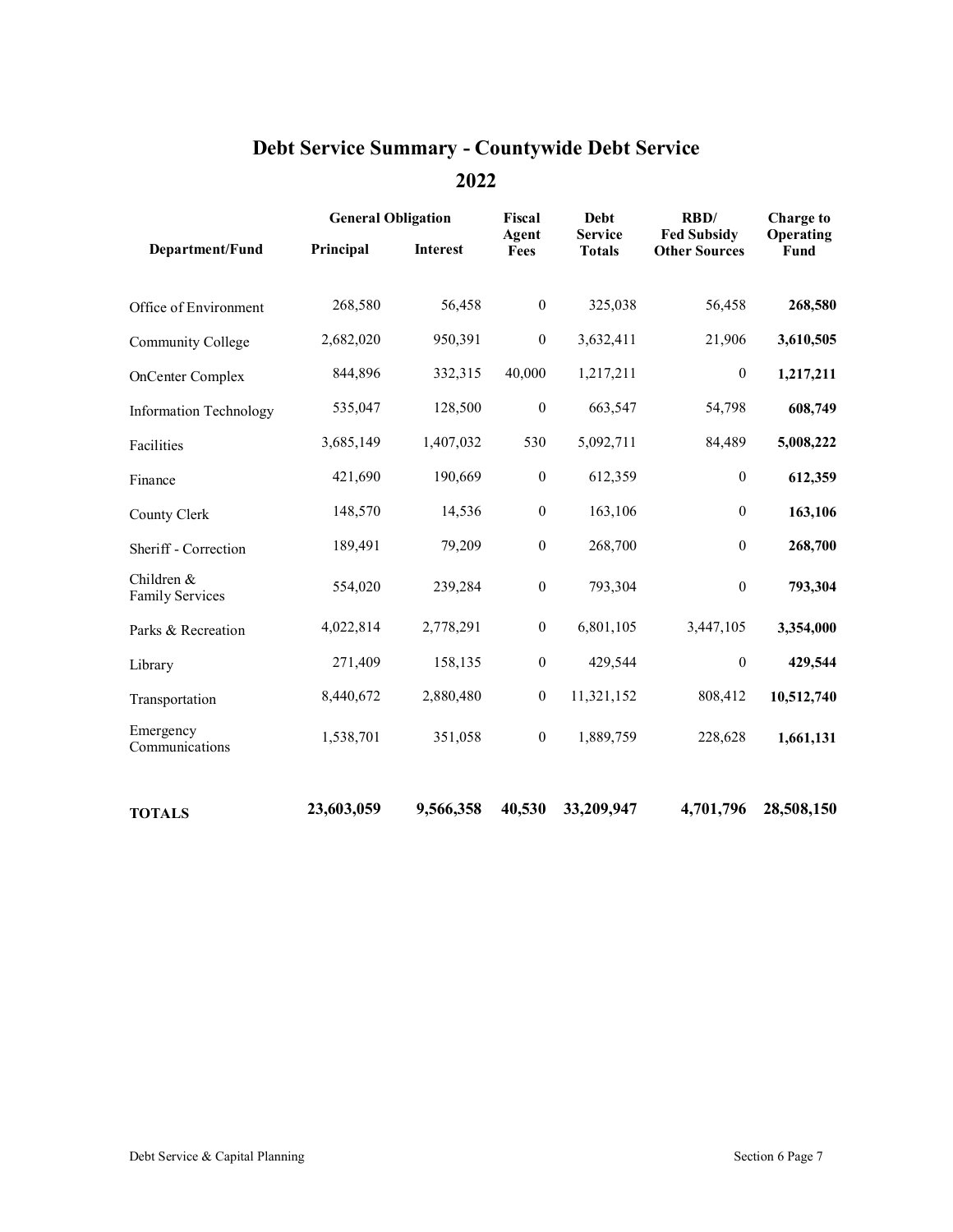# **Debt Service Summary - Countywide Debt Service**

**2022** 

|                                      | <b>General Obligation</b> |                 | Fiscal           | <b>Debt</b>                     | RBD/                                       | <b>Charge to</b>  |  |
|--------------------------------------|---------------------------|-----------------|------------------|---------------------------------|--------------------------------------------|-------------------|--|
| Department/Fund                      | Principal                 | <b>Interest</b> | Agent<br>Fees    | <b>Service</b><br><b>Totals</b> | <b>Fed Subsidy</b><br><b>Other Sources</b> | Operating<br>Fund |  |
| Office of Environment                | 268,580                   | 56,458          | $\boldsymbol{0}$ | 325,038                         | 56,458                                     | 268,580           |  |
| Community College                    | 2,682,020                 | 950,391         | $\boldsymbol{0}$ | 3,632,411                       | 21,906                                     | 3,610,505         |  |
| <b>OnCenter Complex</b>              | 844,896                   | 332,315         | 40,000           | 1,217,211                       | $\boldsymbol{0}$                           | 1,217,211         |  |
| <b>Information Technology</b>        | 535,047                   | 128,500         | $\boldsymbol{0}$ | 663,547                         | 54,798                                     | 608,749           |  |
| Facilities                           | 3,685,149                 | 1,407,032       | 530              | 5,092,711                       | 84,489                                     | 5,008,222         |  |
| Finance                              | 421,690                   | 190,669         | $\boldsymbol{0}$ | 612,359                         | $\boldsymbol{0}$                           | 612,359           |  |
| County Clerk                         | 148,570                   | 14,536          | $\boldsymbol{0}$ | 163,106                         | $\boldsymbol{0}$                           | 163,106           |  |
| Sheriff - Correction                 | 189,491                   | 79,209          | $\boldsymbol{0}$ | 268,700                         | $\boldsymbol{0}$                           | 268,700           |  |
| Children &<br><b>Family Services</b> | 554,020                   | 239,284         | $\boldsymbol{0}$ | 793,304                         | $\boldsymbol{0}$                           | 793,304           |  |
| Parks & Recreation                   | 4,022,814                 | 2,778,291       | $\boldsymbol{0}$ | 6,801,105                       | 3,447,105                                  | 3,354,000         |  |
| Library                              | 271,409                   | 158,135         | $\boldsymbol{0}$ | 429,544                         | $\boldsymbol{0}$                           | 429,544           |  |
| Transportation                       | 8,440,672                 | 2,880,480       | $\boldsymbol{0}$ | 11,321,152                      | 808,412                                    | 10,512,740        |  |
| Emergency<br>Communications          | 1,538,701                 | 351,058         | $\boldsymbol{0}$ | 1,889,759                       | 228,628                                    | 1,661,131         |  |
| <b>TOTALS</b>                        | 23,603,059                | 9,566,358       | 40,530           | 33,209,947                      | 4,701,796                                  | 28,508,150        |  |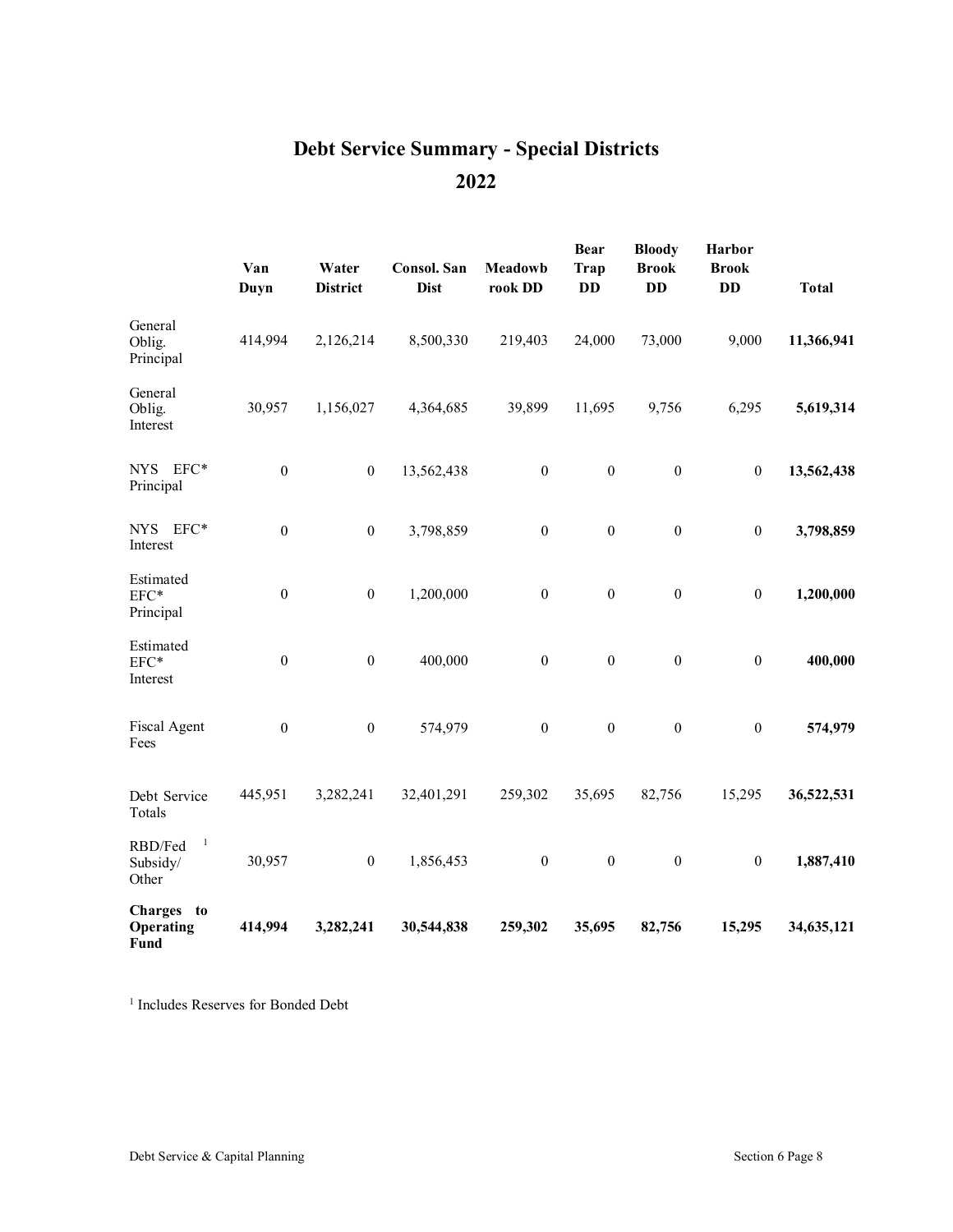# **Debt Service Summary - Special Districts 2022**

|                                              | Van<br>Water<br>Consol. San<br><b>Dist</b><br><b>District</b><br>Duyn |                  | <b>Bear</b><br>Meadowb<br><b>Trap</b><br><b>DD</b><br>rook DD |                  | <b>Bloody</b><br>Harbor<br><b>Brook</b><br><b>Brook</b><br><b>DD</b><br><b>DD</b> |                  | <b>Total</b>     |            |
|----------------------------------------------|-----------------------------------------------------------------------|------------------|---------------------------------------------------------------|------------------|-----------------------------------------------------------------------------------|------------------|------------------|------------|
| General<br>Oblig.<br>Principal               | 414,994                                                               | 2,126,214        | 8,500,330                                                     | 219,403          | 24,000                                                                            | 73,000           | 9,000            | 11,366,941 |
| General<br>Oblig.<br>Interest                | 30,957                                                                | 1,156,027        | 4,364,685                                                     | 39,899           | 11,695                                                                            | 9,756            | 6,295            | 5,619,314  |
| NYS EFC*<br>Principal                        | $\boldsymbol{0}$                                                      | $\boldsymbol{0}$ | 13,562,438                                                    | $\boldsymbol{0}$ | $\boldsymbol{0}$                                                                  | $\boldsymbol{0}$ | $\boldsymbol{0}$ | 13,562,438 |
| NYS EFC*<br>Interest                         | $\boldsymbol{0}$                                                      | $\boldsymbol{0}$ | 3,798,859                                                     | $\boldsymbol{0}$ | $\boldsymbol{0}$                                                                  | $\boldsymbol{0}$ | $\boldsymbol{0}$ | 3,798,859  |
| Estimated<br>$EFC*$<br>Principal             | $\boldsymbol{0}$                                                      | $\boldsymbol{0}$ | 1,200,000                                                     | $\boldsymbol{0}$ | $\boldsymbol{0}$                                                                  | $\boldsymbol{0}$ | $\boldsymbol{0}$ | 1,200,000  |
| Estimated<br>$EFC*$<br>Interest              | $\boldsymbol{0}$                                                      | $\boldsymbol{0}$ | 400,000                                                       | $\boldsymbol{0}$ | $\boldsymbol{0}$                                                                  | $\boldsymbol{0}$ | $\boldsymbol{0}$ | 400,000    |
| <b>Fiscal Agent</b><br>Fees                  | $\boldsymbol{0}$                                                      | $\boldsymbol{0}$ | 574,979                                                       | $\boldsymbol{0}$ | $\boldsymbol{0}$                                                                  | $\boldsymbol{0}$ | $\boldsymbol{0}$ | 574,979    |
| Debt Service<br>Totals                       | 445,951                                                               | 3,282,241        | 32,401,291                                                    | 259,302          | 35,695                                                                            | 82,756           | 15,295           | 36,522,531 |
| $\mathbf{1}$<br>RBD/Fed<br>Subsidy/<br>Other | 30,957                                                                | $\boldsymbol{0}$ | 1,856,453                                                     | $\boldsymbol{0}$ | $\boldsymbol{0}$                                                                  | $\boldsymbol{0}$ | $\boldsymbol{0}$ | 1,887,410  |
| Charges to<br>Operating<br>Fund              | 414,994                                                               | 3,282,241        | 30,544,838                                                    | 259,302          | 35,695                                                                            | 82,756           | 15,295           | 34,635,121 |

1 Includes Reserves for Bonded Debt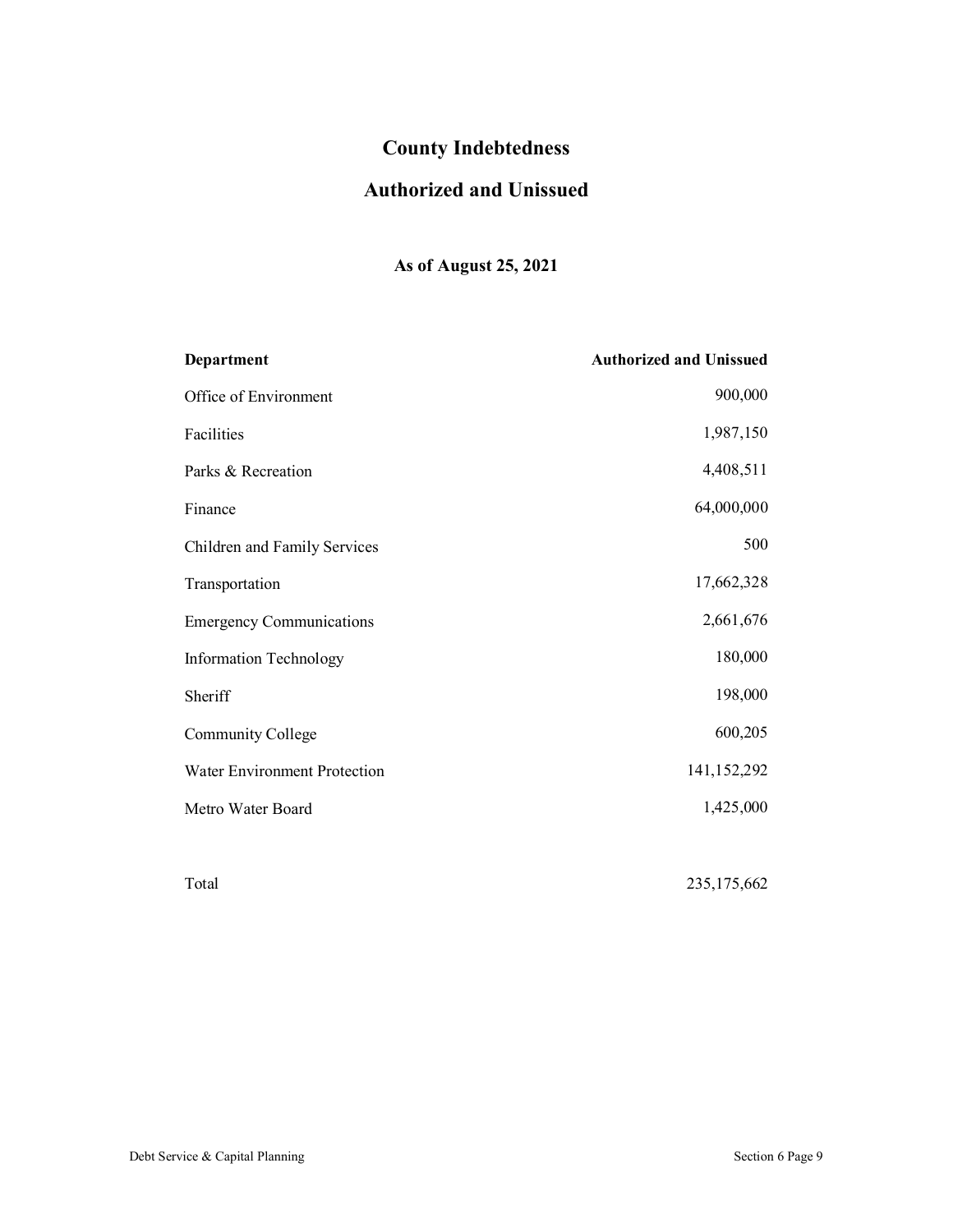# **County Indebtedness**

### **Authorized and Unissued**

### **As of August 25, 2021**

| Department                      | <b>Authorized and Unissued</b> |
|---------------------------------|--------------------------------|
| Office of Environment           | 900,000                        |
| Facilities                      | 1,987,150                      |
| Parks & Recreation              | 4,408,511                      |
| Finance                         | 64,000,000                     |
| Children and Family Services    | 500                            |
| Transportation                  | 17,662,328                     |
| <b>Emergency Communications</b> | 2,661,676                      |
| <b>Information Technology</b>   | 180,000                        |
| Sheriff                         | 198,000                        |
| Community College               | 600,205                        |
| Water Environment Protection    | 141,152,292                    |
| Metro Water Board               | 1,425,000                      |
|                                 |                                |
| Total                           | 235, 175, 662                  |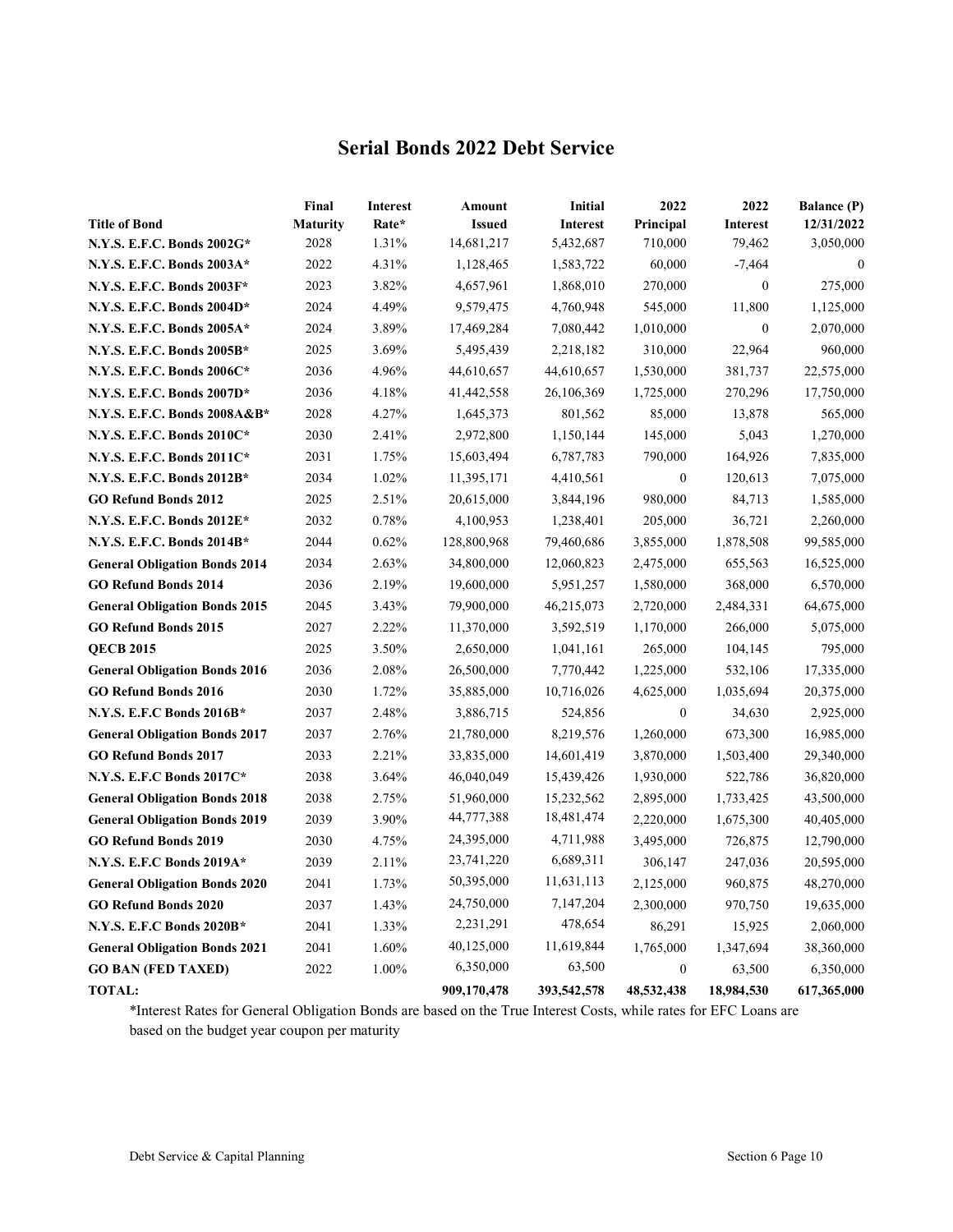### **Serial Bonds 2022 Debt Service**

|                                                    | Final                   | <b>Interest</b> | Amount                      | <b>Initial</b>               | 2022                 | 2022                      | <b>Balance</b> (P)      |
|----------------------------------------------------|-------------------------|-----------------|-----------------------------|------------------------------|----------------------|---------------------------|-------------------------|
| <b>Title of Bond</b><br>N.Y.S. E.F.C. Bonds 2002G* | <b>Maturity</b><br>2028 | Rate*<br>1.31%  | <b>Issued</b><br>14,681,217 | <b>Interest</b><br>5,432,687 | Principal<br>710,000 | <b>Interest</b><br>79,462 | 12/31/2022<br>3,050,000 |
| N.Y.S. E.F.C. Bonds 2003A*                         | 2022                    | 4.31%           | 1,128,465                   | 1,583,722                    | 60,000               | $-7,464$                  | $\mathbf{0}$            |
| N.Y.S. E.F.C. Bonds 2003F*                         | 2023                    | 3.82%           | 4,657,961                   | 1,868,010                    | 270,000              | $\overline{0}$            | 275,000                 |
|                                                    | 2024                    | 4.49%           | 9,579,475                   | 4,760,948                    | 545,000              | 11,800                    | 1,125,000               |
| N.Y.S. E.F.C. Bonds 2004D*                         | 2024                    |                 |                             |                              |                      | $\overline{0}$            |                         |
| N.Y.S. E.F.C. Bonds 2005A*                         |                         | 3.89%           | 17,469,284                  | 7,080,442                    | 1,010,000            |                           | 2,070,000               |
| N.Y.S. E.F.C. Bonds 2005B*                         | 2025                    | 3.69%           | 5,495,439                   | 2,218,182                    | 310,000              | 22,964                    | 960,000                 |
| N.Y.S. E.F.C. Bonds 2006C*                         | 2036                    | 4.96%           | 44,610,657                  | 44,610,657                   | 1,530,000            | 381,737                   | 22,575,000              |
| N.Y.S. E.F.C. Bonds 2007D*                         | 2036                    | 4.18%           | 41,442,558                  | 26,106,369                   | 1,725,000            | 270,296                   | 17,750,000              |
| N.Y.S. E.F.C. Bonds 2008A&B*                       | 2028                    | 4.27%           | 1,645,373                   | 801,562                      | 85,000               | 13,878                    | 565,000                 |
| N.Y.S. E.F.C. Bonds 2010C*                         | 2030                    | 2.41%           | 2,972,800                   | 1,150,144                    | 145,000              | 5,043                     | 1,270,000               |
| N.Y.S. E.F.C. Bonds 2011C*                         | 2031                    | 1.75%           | 15,603,494                  | 6,787,783                    | 790,000              | 164,926                   | 7,835,000               |
| N.Y.S. E.F.C. Bonds 2012B*                         | 2034                    | 1.02%           | 11,395,171                  | 4,410,561                    | $\mathbf{0}$         | 120,613                   | 7,075,000               |
| <b>GO Refund Bonds 2012</b>                        | 2025                    | 2.51%           | 20,615,000                  | 3,844,196                    | 980,000              | 84,713                    | 1,585,000               |
| N.Y.S. E.F.C. Bonds 2012E*                         | 2032                    | 0.78%           | 4,100,953                   | 1,238,401                    | 205,000              | 36,721                    | 2,260,000               |
| N.Y.S. E.F.C. Bonds 2014B*                         | 2044                    | 0.62%           | 128,800,968                 | 79,460,686                   | 3,855,000            | 1,878,508                 | 99,585,000              |
| <b>General Obligation Bonds 2014</b>               | 2034                    | 2.63%           | 34,800,000                  | 12,060,823                   | 2,475,000            | 655,563                   | 16,525,000              |
| <b>GO Refund Bonds 2014</b>                        | 2036                    | 2.19%           | 19,600,000                  | 5,951,257                    | 1,580,000            | 368,000                   | 6,570,000               |
| <b>General Obligation Bonds 2015</b>               | 2045                    | 3.43%           | 79,900,000                  | 46,215,073                   | 2,720,000            | 2,484,331                 | 64,675,000              |
| <b>GO Refund Bonds 2015</b>                        | 2027                    | 2.22%           | 11,370,000                  | 3,592,519                    | 1,170,000            | 266,000                   | 5,075,000               |
| <b>OECB 2015</b>                                   | 2025                    | 3.50%           | 2,650,000                   | 1,041,161                    | 265,000              | 104,145                   | 795,000                 |
| <b>General Obligation Bonds 2016</b>               | 2036                    | 2.08%           | 26,500,000                  | 7,770,442                    | 1,225,000            | 532,106                   | 17,335,000              |
| <b>GO Refund Bonds 2016</b>                        | 2030                    | 1.72%           | 35,885,000                  | 10,716,026                   | 4,625,000            | 1,035,694                 | 20,375,000              |
| N.Y.S. E.F.C Bonds 2016B*                          | 2037                    | 2.48%           | 3,886,715                   | 524,856                      | $\boldsymbol{0}$     | 34,630                    | 2,925,000               |
| <b>General Obligation Bonds 2017</b>               | 2037                    | 2.76%           | 21,780,000                  | 8,219,576                    | 1,260,000            | 673,300                   | 16,985,000              |
| <b>GO Refund Bonds 2017</b>                        | 2033                    | 2.21%           | 33,835,000                  | 14,601,419                   | 3,870,000            | 1,503,400                 | 29,340,000              |
| N.Y.S. E.F.C Bonds 2017C*                          | 2038                    | 3.64%           | 46,040,049                  | 15,439,426                   | 1,930,000            | 522,786                   | 36,820,000              |
| <b>General Obligation Bonds 2018</b>               | 2038                    | 2.75%           | 51,960,000                  | 15,232,562                   | 2,895,000            | 1,733,425                 | 43,500,000              |
| <b>General Obligation Bonds 2019</b>               | 2039                    | 3.90%           | 44,777,388                  | 18,481,474                   | 2,220,000            | 1,675,300                 | 40,405,000              |
| <b>GO Refund Bonds 2019</b>                        | 2030                    | 4.75%           | 24,395,000                  | 4,711,988                    | 3,495,000            | 726,875                   | 12,790,000              |
| N.Y.S. E.F.C Bonds 2019A*                          | 2039                    | 2.11%           | 23,741,220                  | 6,689,311                    | 306,147              | 247,036                   | 20,595,000              |
| <b>General Obligation Bonds 2020</b>               | 2041                    | 1.73%           | 50,395,000                  | 11,631,113                   | 2,125,000            | 960,875                   | 48,270,000              |
| <b>GO Refund Bonds 2020</b>                        | 2037                    | 1.43%           | 24,750,000                  | 7,147,204                    | 2,300,000            | 970,750                   | 19,635,000              |
| N.Y.S. E.F.C Bonds 2020B*                          | 2041                    | 1.33%           | 2,231,291                   | 478,654                      | 86,291               | 15,925                    | 2,060,000               |
| <b>General Obligation Bonds 2021</b>               | 2041                    | 1.60%           | 40,125,000                  | 11,619,844                   | 1,765,000            | 1,347,694                 | 38,360,000              |
| <b>GO BAN (FED TAXED)</b>                          | 2022                    | 1.00%           | 6,350,000                   | 63,500                       | $\mathbf{0}$         | 63,500                    | 6,350,000               |
| <b>TOTAL:</b>                                      |                         |                 | 909,170,478                 | 393,542,578                  | 48,532,438           | 18,984,530                | 617,365,000             |

\*Interest Rates for General Obligation Bonds are based on the True Interest Costs, while rates for EFC Loans are based on the budget year coupon per maturity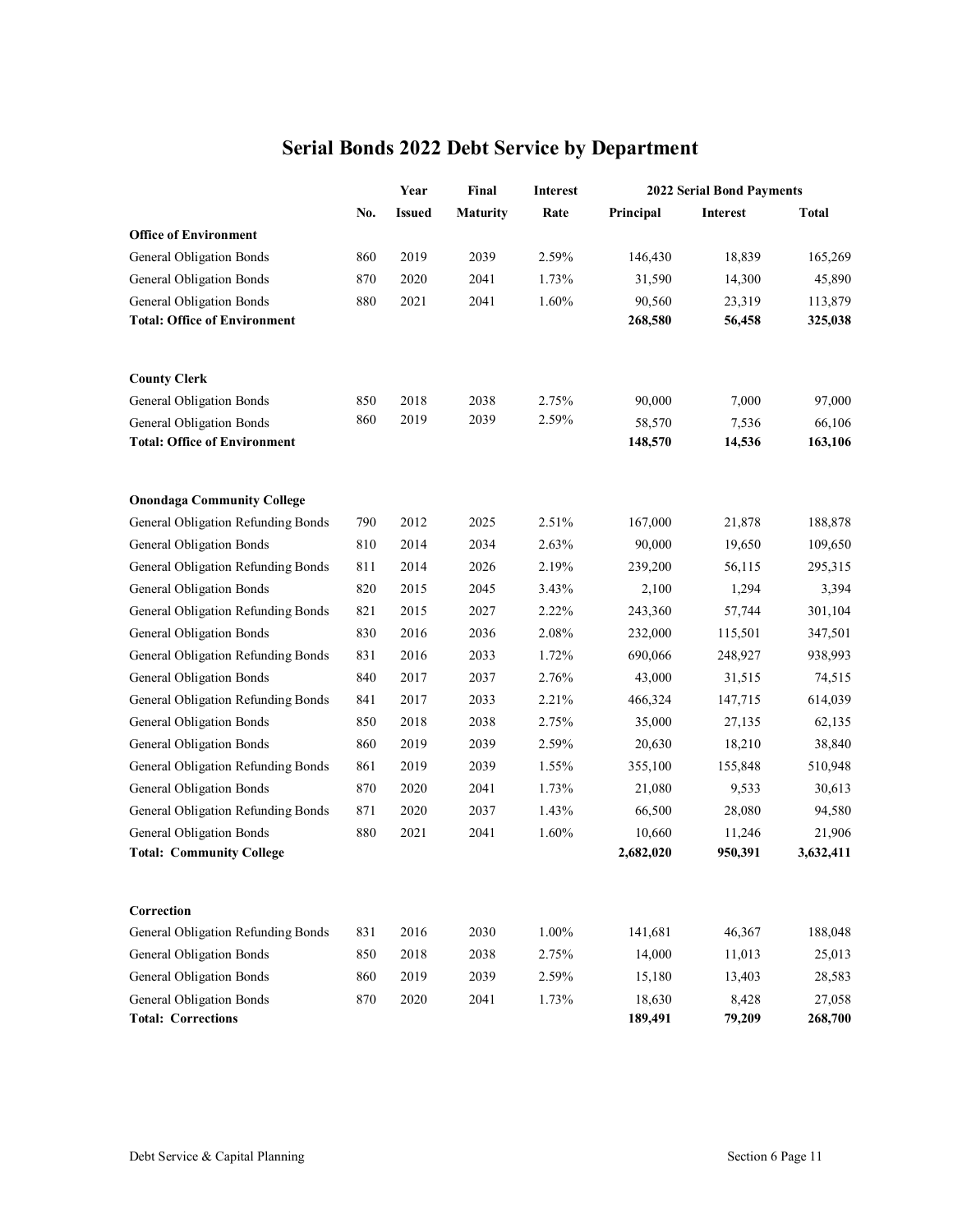|                                     |     | Year          | Final           | <b>Interest</b> |           | <b>2022 Serial Bond Payments</b> |              |
|-------------------------------------|-----|---------------|-----------------|-----------------|-----------|----------------------------------|--------------|
|                                     | No. | <b>Issued</b> | <b>Maturity</b> | Rate            | Principal | <b>Interest</b>                  | <b>Total</b> |
| <b>Office of Environment</b>        |     |               |                 |                 |           |                                  |              |
| <b>General Obligation Bonds</b>     | 860 | 2019          | 2039            | 2.59%           | 146,430   | 18,839                           | 165,269      |
| <b>General Obligation Bonds</b>     | 870 | 2020          | 2041            | 1.73%           | 31,590    | 14,300                           | 45,890       |
| <b>General Obligation Bonds</b>     | 880 | 2021          | 2041            | 1.60%           | 90,560    | 23,319                           | 113,879      |
| <b>Total: Office of Environment</b> |     |               |                 |                 | 268,580   | 56,458                           | 325,038      |
| <b>County Clerk</b>                 |     |               |                 |                 |           |                                  |              |
| <b>General Obligation Bonds</b>     | 850 | 2018          | 2038            | 2.75%           | 90,000    | 7,000                            | 97,000       |
| <b>General Obligation Bonds</b>     | 860 | 2019          | 2039            | 2.59%           | 58,570    | 7,536                            | 66,106       |
| <b>Total: Office of Environment</b> |     |               |                 |                 | 148,570   | 14,536                           | 163,106      |
| <b>Onondaga Community College</b>   |     |               |                 |                 |           |                                  |              |
| General Obligation Refunding Bonds  | 790 | 2012          | 2025            | 2.51%           | 167,000   | 21,878                           | 188,878      |
| General Obligation Bonds            | 810 | 2014          | 2034            | 2.63%           | 90,000    | 19,650                           | 109,650      |
| General Obligation Refunding Bonds  | 811 | 2014          | 2026            | 2.19%           | 239,200   | 56,115                           | 295,315      |
| General Obligation Bonds            | 820 | 2015          | 2045            | 3.43%           | 2,100     | 1,294                            | 3,394        |
| General Obligation Refunding Bonds  | 821 | 2015          | 2027            | 2.22%           | 243,360   | 57,744                           | 301,104      |
| <b>General Obligation Bonds</b>     | 830 | 2016          | 2036            | 2.08%           | 232,000   | 115,501                          | 347,501      |
| General Obligation Refunding Bonds  | 831 | 2016          | 2033            | 1.72%           | 690,066   | 248,927                          | 938,993      |
| <b>General Obligation Bonds</b>     | 840 | 2017          | 2037            | 2.76%           | 43,000    | 31,515                           | 74,515       |
| General Obligation Refunding Bonds  | 841 | 2017          | 2033            | 2.21%           | 466,324   | 147,715                          | 614,039      |
| <b>General Obligation Bonds</b>     | 850 | 2018          | 2038            | 2.75%           | 35,000    | 27,135                           | 62,135       |
| <b>General Obligation Bonds</b>     | 860 | 2019          | 2039            | 2.59%           | 20,630    | 18,210                           | 38,840       |
| General Obligation Refunding Bonds  | 861 | 2019          | 2039            | 1.55%           | 355,100   | 155,848                          | 510,948      |
| General Obligation Bonds            | 870 | 2020          | 2041            | 1.73%           | 21,080    | 9,533                            | 30,613       |
| General Obligation Refunding Bonds  | 871 | 2020          | 2037            | 1.43%           | 66,500    | 28,080                           | 94,580       |
| General Obligation Bonds            | 880 | 2021          | 2041            | 1.60%           | 10,660    | 11,246                           | 21,906       |
| <b>Total: Community College</b>     |     |               |                 |                 | 2,682,020 | 950,391                          | 3,632,411    |
| Correction                          |     |               |                 |                 |           |                                  |              |
| General Obligation Refunding Bonds  | 831 | 2016          | 2030            | 1.00%           | 141,681   | 46,367                           | 188,048      |
| <b>General Obligation Bonds</b>     | 850 | 2018          | 2038            | 2.75%           | 14,000    | 11,013                           | 25,013       |
| <b>General Obligation Bonds</b>     | 860 | 2019          | 2039            | 2.59%           | 15,180    | 13,403                           | 28,583       |
| <b>General Obligation Bonds</b>     | 870 | 2020          | 2041            | 1.73%           | 18,630    | 8,428                            | 27,058       |
| <b>Total: Corrections</b>           |     |               |                 |                 | 189,491   | 79,209                           | 268,700      |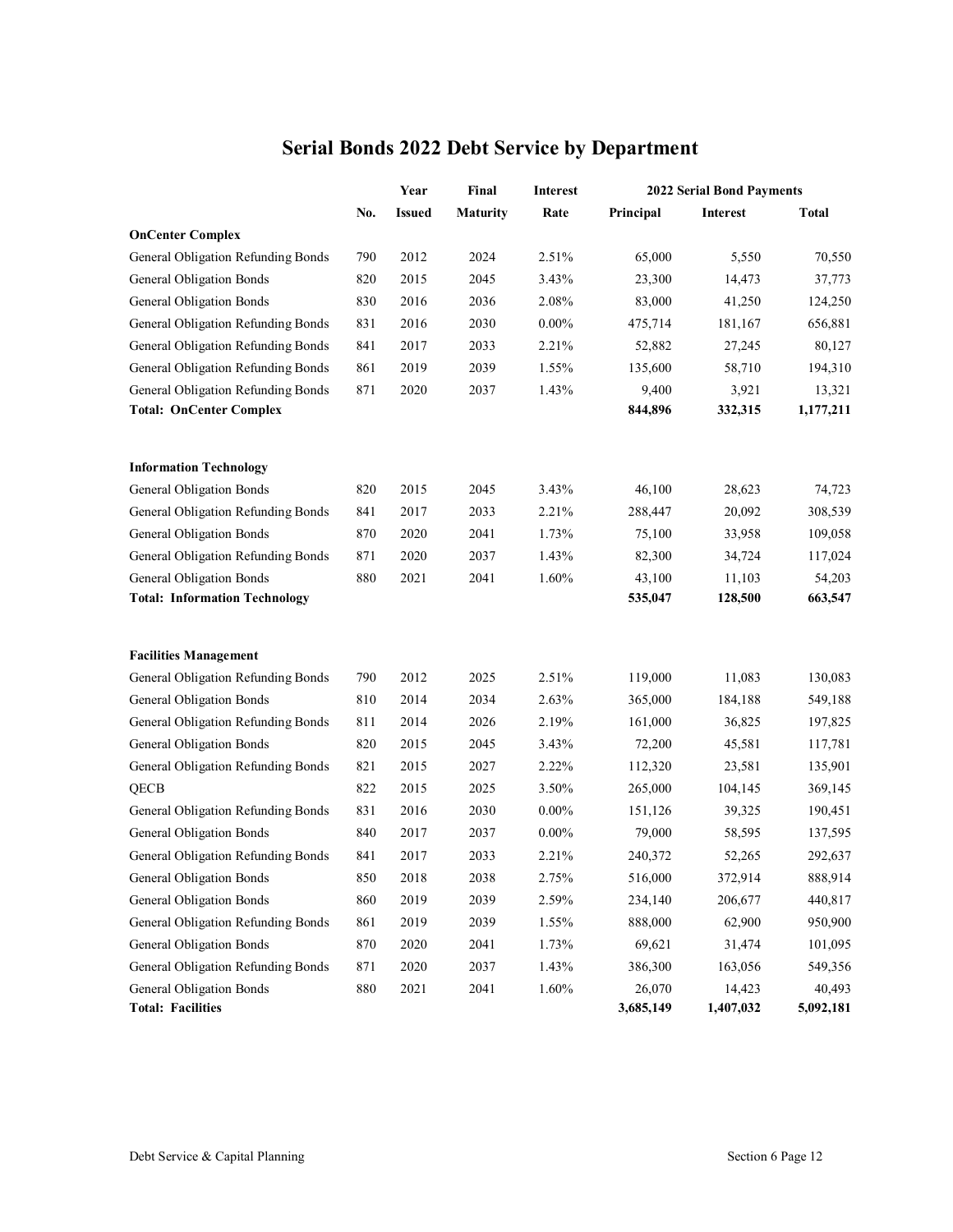|                                      |     | Year          | Final           | <b>Interest</b> |           | <b>2022 Serial Bond Payments</b> |              |
|--------------------------------------|-----|---------------|-----------------|-----------------|-----------|----------------------------------|--------------|
|                                      | No. | <b>Issued</b> | <b>Maturity</b> | Rate            | Principal | Interest                         | <b>Total</b> |
| <b>OnCenter Complex</b>              |     |               |                 |                 |           |                                  |              |
| General Obligation Refunding Bonds   | 790 | 2012          | 2024            | 2.51%           | 65,000    | 5,550                            | 70,550       |
| <b>General Obligation Bonds</b>      | 820 | 2015          | 2045            | 3.43%           | 23,300    | 14,473                           | 37,773       |
| <b>General Obligation Bonds</b>      | 830 | 2016          | 2036            | 2.08%           | 83,000    | 41,250                           | 124,250      |
| General Obligation Refunding Bonds   | 831 | 2016          | 2030            | $0.00\%$        | 475,714   | 181,167                          | 656,881      |
| General Obligation Refunding Bonds   | 841 | 2017          | 2033            | 2.21%           | 52,882    | 27,245                           | 80,127       |
| General Obligation Refunding Bonds   | 861 | 2019          | 2039            | 1.55%           | 135,600   | 58,710                           | 194,310      |
| General Obligation Refunding Bonds   | 871 | 2020          | 2037            | 1.43%           | 9,400     | 3,921                            | 13,321       |
| <b>Total: OnCenter Complex</b>       |     |               |                 |                 | 844,896   | 332,315                          | 1,177,211    |
| <b>Information Technology</b>        |     |               |                 |                 |           |                                  |              |
| <b>General Obligation Bonds</b>      | 820 | 2015          | 2045            | 3.43%           | 46,100    | 28,623                           | 74,723       |
| General Obligation Refunding Bonds   | 841 | 2017          | 2033            | 2.21%           | 288,447   | 20,092                           | 308,539      |
| <b>General Obligation Bonds</b>      | 870 | 2020          | 2041            | 1.73%           | 75,100    | 33,958                           | 109,058      |
| General Obligation Refunding Bonds   | 871 | 2020          | 2037            | 1.43%           | 82,300    | 34,724                           | 117,024      |
| General Obligation Bonds             | 880 | 2021          | 2041            | 1.60%           | 43,100    | 11,103                           | 54,203       |
| <b>Total: Information Technology</b> |     |               |                 |                 | 535,047   | 128,500                          | 663,547      |
| <b>Facilities Management</b>         |     |               |                 |                 |           |                                  |              |
| General Obligation Refunding Bonds   | 790 | 2012          | 2025            | 2.51%           | 119,000   | 11,083                           | 130,083      |
| <b>General Obligation Bonds</b>      | 810 | 2014          | 2034            | 2.63%           | 365,000   | 184,188                          | 549,188      |
| General Obligation Refunding Bonds   | 811 | 2014          | 2026            | 2.19%           | 161,000   | 36,825                           | 197,825      |
| <b>General Obligation Bonds</b>      | 820 | 2015          | 2045            | 3.43%           | 72,200    | 45,581                           | 117,781      |
| General Obligation Refunding Bonds   | 821 | 2015          | 2027            | 2.22%           | 112,320   | 23,581                           | 135,901      |
| QECB                                 | 822 | 2015          | 2025            | 3.50%           | 265,000   | 104,145                          | 369,145      |
| General Obligation Refunding Bonds   | 831 | 2016          | 2030            | $0.00\%$        | 151,126   | 39,325                           | 190,451      |
| General Obligation Bonds             | 840 | 2017          | 2037            | $0.00\%$        | 79,000    | 58,595                           | 137,595      |
| General Obligation Refunding Bonds   | 841 | 2017          | 2033            | 2.21%           | 240,372   | 52,265                           | 292,637      |
| General Obligation Bonds             | 850 | 2018          | 2038            | 2.75%           | 516,000   | 372,914                          | 888,914      |
| General Obligation Bonds             | 860 | 2019          | 2039            | 2.59%           | 234,140   | 206,677                          | 440,817      |
| General Obligation Refunding Bonds   | 861 | 2019          | 2039            | 1.55%           | 888,000   | 62,900                           | 950,900      |
| <b>General Obligation Bonds</b>      | 870 | 2020          | 2041            | 1.73%           | 69,621    | 31,474                           | 101,095      |
| General Obligation Refunding Bonds   | 871 | 2020          | 2037            | 1.43%           | 386,300   | 163,056                          | 549,356      |
| <b>General Obligation Bonds</b>      | 880 | 2021          | 2041            | 1.60%           | 26,070    | 14,423                           | 40,493       |
| <b>Total: Facilities</b>             |     |               |                 |                 | 3,685,149 | 1,407,032                        | 5,092,181    |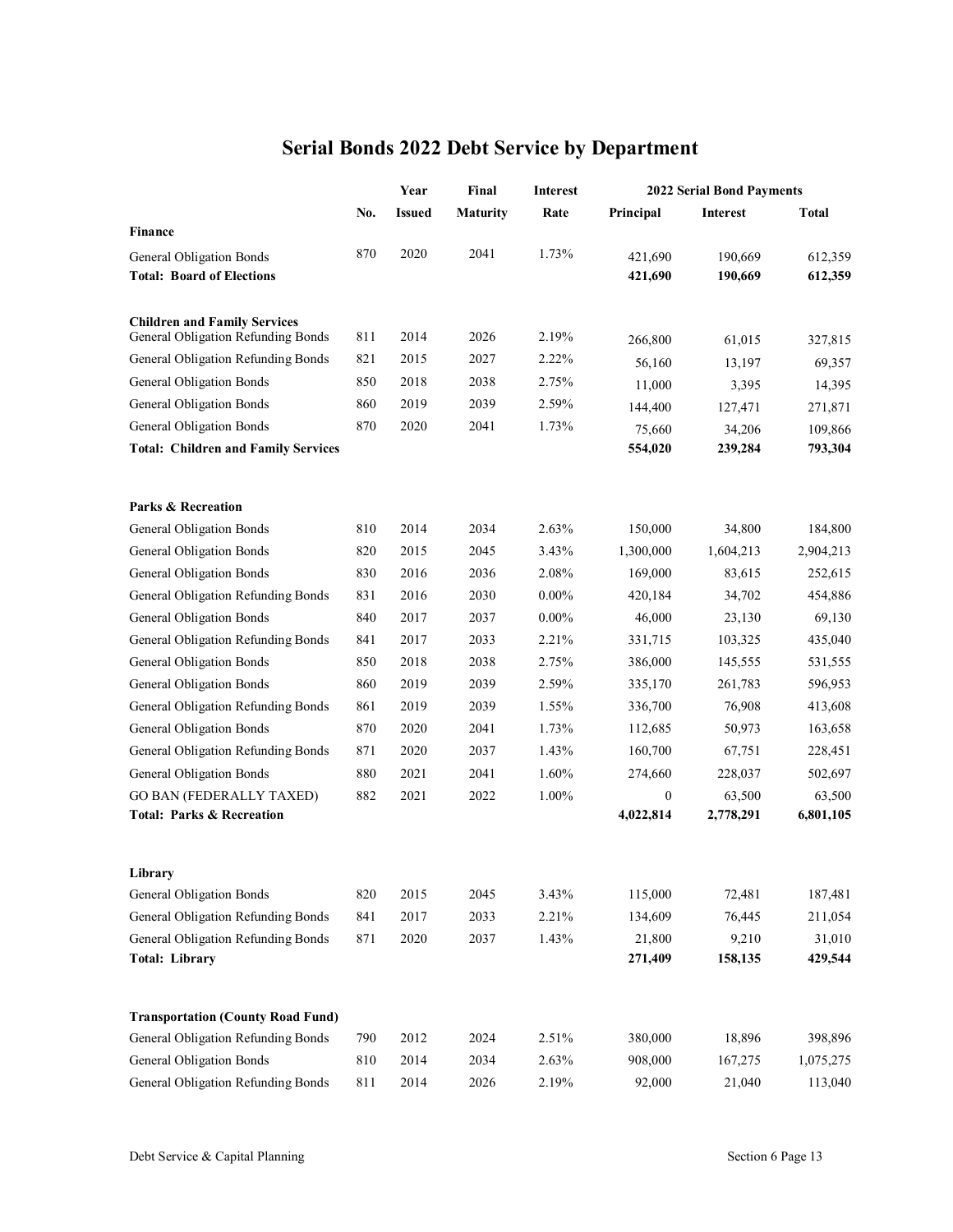|                                                                           |     | Year          | Final           | <b>Interest</b> | <b>2022 Serial Bond Payments</b> |                 |           |  |
|---------------------------------------------------------------------------|-----|---------------|-----------------|-----------------|----------------------------------|-----------------|-----------|--|
|                                                                           | No. | <b>Issued</b> | <b>Maturity</b> | Rate            | Principal                        | <b>Interest</b> | Total     |  |
| Finance                                                                   |     |               |                 |                 |                                  |                 |           |  |
| General Obligation Bonds                                                  | 870 | 2020          | 2041            | 1.73%           | 421,690                          | 190,669         | 612,359   |  |
| <b>Total: Board of Elections</b>                                          |     |               |                 |                 | 421,690                          | 190,669         | 612,359   |  |
|                                                                           |     |               |                 |                 |                                  |                 |           |  |
| <b>Children and Family Services</b><br>General Obligation Refunding Bonds | 811 | 2014          | 2026            | 2.19%           | 266,800                          | 61,015          | 327,815   |  |
| General Obligation Refunding Bonds                                        | 821 | 2015          | 2027            | 2.22%           | 56,160                           | 13,197          | 69,357    |  |
| <b>General Obligation Bonds</b>                                           | 850 | 2018          | 2038            | 2.75%           | 11,000                           | 3,395           | 14,395    |  |
| <b>General Obligation Bonds</b>                                           | 860 | 2019          | 2039            | 2.59%           | 144,400                          | 127,471         | 271,871   |  |
| <b>General Obligation Bonds</b>                                           | 870 | 2020          | 2041            | 1.73%           | 75,660                           | 34,206          | 109,866   |  |
| <b>Total: Children and Family Services</b>                                |     |               |                 |                 | 554,020                          | 239,284         | 793,304   |  |
|                                                                           |     |               |                 |                 |                                  |                 |           |  |
| <b>Parks &amp; Recreation</b>                                             |     |               |                 |                 |                                  |                 |           |  |
| <b>General Obligation Bonds</b>                                           | 810 | 2014          | 2034            | 2.63%           | 150,000                          | 34,800          | 184,800   |  |
| <b>General Obligation Bonds</b>                                           | 820 | 2015          | 2045            | 3.43%           | 1,300,000                        | 1,604,213       | 2,904,213 |  |
| General Obligation Bonds                                                  | 830 | 2016          | 2036            | 2.08%           | 169,000                          | 83,615          | 252,615   |  |
| General Obligation Refunding Bonds                                        | 831 | 2016          | 2030            | $0.00\%$        | 420,184                          | 34,702          | 454,886   |  |
| <b>General Obligation Bonds</b>                                           | 840 | 2017          | 2037            | $0.00\%$        | 46,000                           | 23,130          | 69,130    |  |
| General Obligation Refunding Bonds                                        | 841 | 2017          | 2033            | 2.21%           | 331,715                          | 103,325         | 435,040   |  |
| <b>General Obligation Bonds</b>                                           | 850 | 2018          | 2038            | 2.75%           | 386,000                          | 145,555         | 531,555   |  |
| General Obligation Bonds                                                  | 860 | 2019          | 2039            | 2.59%           | 335,170                          | 261,783         | 596,953   |  |
| General Obligation Refunding Bonds                                        | 861 | 2019          | 2039            | 1.55%           | 336,700                          | 76,908          | 413,608   |  |
| General Obligation Bonds                                                  | 870 | 2020          | 2041            | 1.73%           | 112,685                          | 50,973          | 163,658   |  |
| General Obligation Refunding Bonds                                        | 871 | 2020          | 2037            | 1.43%           | 160,700                          | 67,751          | 228,451   |  |
| General Obligation Bonds                                                  | 880 | 2021          | 2041            | 1.60%           | 274,660                          | 228,037         | 502,697   |  |
| <b>GO BAN (FEDERALLY TAXED)</b>                                           | 882 | 2021          | 2022            | $1.00\%$        | $\boldsymbol{0}$                 | 63,500          | 63,500    |  |
| <b>Total: Parks &amp; Recreation</b>                                      |     |               |                 |                 | 4,022,814                        | 2,778,291       | 6,801,105 |  |
|                                                                           |     |               |                 |                 |                                  |                 |           |  |
| Library                                                                   |     |               |                 |                 |                                  |                 |           |  |
| <b>General Obligation Bonds</b>                                           | 820 | 2015          | 2045            | 3.43%           | 115,000                          | 72,481          | 187,481   |  |
| General Obligation Refunding Bonds                                        | 841 | 2017          | 2033            | 2.21%           | 134,609                          | 76,445          | 211,054   |  |
| General Obligation Refunding Bonds                                        | 871 | 2020          | 2037            | 1.43%           | 21,800                           | 9,210           | 31,010    |  |
| <b>Total: Library</b>                                                     |     |               |                 |                 | 271,409                          | 158,135         | 429,544   |  |
| <b>Transportation (County Road Fund)</b>                                  |     |               |                 |                 |                                  |                 |           |  |
| General Obligation Refunding Bonds                                        | 790 | 2012          | 2024            | 2.51%           | 380,000                          | 18,896          | 398,896   |  |
| <b>General Obligation Bonds</b>                                           | 810 | 2014          | 2034            | 2.63%           | 908,000                          | 167,275         | 1,075,275 |  |
| General Obligation Refunding Bonds                                        | 811 | 2014          | 2026            | 2.19%           | 92,000                           | 21,040          | 113,040   |  |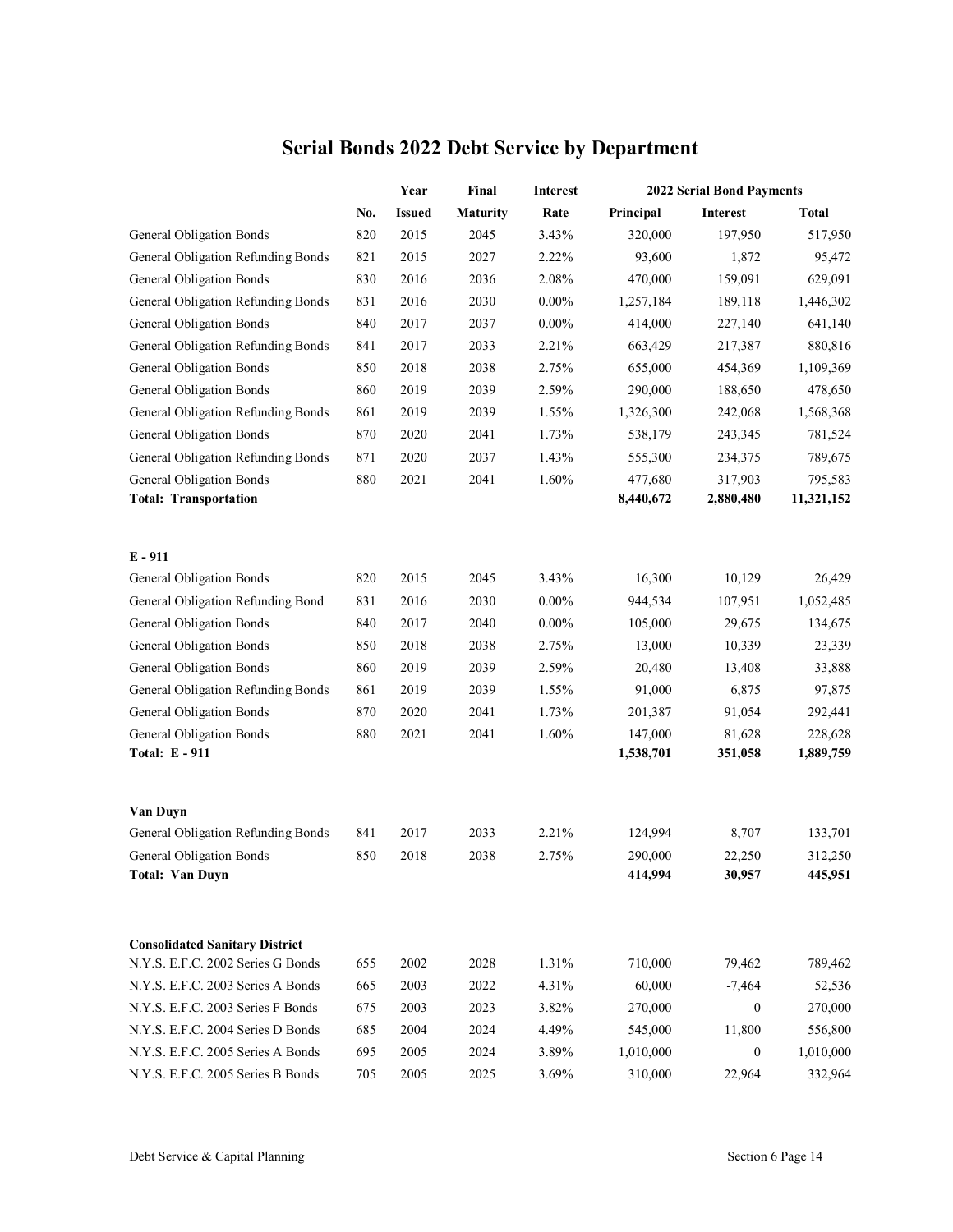|                                       |     | Year          | Final           | <b>Interest</b> |           | <b>2022 Serial Bond Payments</b> |              |  |  |
|---------------------------------------|-----|---------------|-----------------|-----------------|-----------|----------------------------------|--------------|--|--|
|                                       | No. | <b>Issued</b> | <b>Maturity</b> | Rate            | Principal | <b>Interest</b>                  | <b>Total</b> |  |  |
| General Obligation Bonds              | 820 | 2015          | 2045            | 3.43%           | 320,000   | 197,950                          | 517,950      |  |  |
| General Obligation Refunding Bonds    | 821 | 2015          | 2027            | 2.22%           | 93,600    | 1,872                            | 95,472       |  |  |
| <b>General Obligation Bonds</b>       | 830 | 2016          | 2036            | 2.08%           | 470,000   | 159,091                          | 629,091      |  |  |
| General Obligation Refunding Bonds    | 831 | 2016          | 2030            | $0.00\%$        | 1,257,184 | 189,118                          | 1,446,302    |  |  |
| <b>General Obligation Bonds</b>       | 840 | 2017          | 2037            | $0.00\%$        | 414,000   | 227,140                          | 641,140      |  |  |
| General Obligation Refunding Bonds    | 841 | 2017          | 2033            | 2.21%           | 663,429   | 217,387                          | 880,816      |  |  |
| <b>General Obligation Bonds</b>       | 850 | 2018          | 2038            | 2.75%           | 655,000   | 454,369                          | 1,109,369    |  |  |
| <b>General Obligation Bonds</b>       | 860 | 2019          | 2039            | 2.59%           | 290,000   | 188,650                          | 478,650      |  |  |
| General Obligation Refunding Bonds    | 861 | 2019          | 2039            | 1.55%           | 1,326,300 | 242,068                          | 1,568,368    |  |  |
| <b>General Obligation Bonds</b>       | 870 | 2020          | 2041            | 1.73%           | 538,179   | 243,345                          | 781,524      |  |  |
| General Obligation Refunding Bonds    | 871 | 2020          | 2037            | 1.43%           | 555,300   | 234,375                          | 789,675      |  |  |
| General Obligation Bonds              | 880 | 2021          | 2041            | 1.60%           | 477,680   | 317,903                          | 795,583      |  |  |
| <b>Total: Transportation</b>          |     |               |                 |                 | 8,440,672 | 2,880,480                        | 11,321,152   |  |  |
| $E - 911$                             |     |               |                 |                 |           |                                  |              |  |  |
| <b>General Obligation Bonds</b>       | 820 | 2015          | 2045            | 3.43%           | 16,300    | 10,129                           | 26,429       |  |  |
| General Obligation Refunding Bond     | 831 | 2016          | 2030            | $0.00\%$        | 944,534   | 107,951                          | 1,052,485    |  |  |
| <b>General Obligation Bonds</b>       | 840 | 2017          | 2040            | $0.00\%$        | 105,000   | 29,675                           | 134,675      |  |  |
| <b>General Obligation Bonds</b>       | 850 | 2018          | 2038            | 2.75%           | 13,000    | 10,339                           | 23,339       |  |  |
| General Obligation Bonds              | 860 | 2019          | 2039            | 2.59%           | 20,480    | 13,408                           | 33,888       |  |  |
| General Obligation Refunding Bonds    | 861 | 2019          | 2039            | 1.55%           | 91,000    | 6,875                            | 97,875       |  |  |
| <b>General Obligation Bonds</b>       | 870 | 2020          | 2041            | 1.73%           | 201,387   | 91,054                           | 292,441      |  |  |
| <b>General Obligation Bonds</b>       | 880 | 2021          | 2041            | 1.60%           | 147,000   | 81,628                           | 228,628      |  |  |
| <b>Total: E - 911</b>                 |     |               |                 |                 | 1,538,701 | 351,058                          | 1,889,759    |  |  |
| Van Duyn                              |     |               |                 |                 |           |                                  |              |  |  |
| General Obligation Refunding Bonds    | 841 | 2017          | 2033            | 2.21%           | 124,994   | 8,707                            | 133,701      |  |  |
| <b>General Obligation Bonds</b>       | 850 | 2018          | 2038            | 2.75%           | 290,000   | 22,250                           | 312,250      |  |  |
| <b>Total: Van Duyn</b>                |     |               |                 |                 | 414,994   | 30,957                           | 445,951      |  |  |
| <b>Consolidated Sanitary District</b> |     |               |                 |                 |           |                                  |              |  |  |
| N.Y.S. E.F.C. 2002 Series G Bonds     | 655 | 2002          | 2028            | 1.31%           | 710,000   | 79,462                           | 789,462      |  |  |
| N.Y.S. E.F.C. 2003 Series A Bonds     | 665 | 2003          | 2022            | 4.31%           | 60,000    | $-7,464$                         | 52,536       |  |  |
| N.Y.S. E.F.C. 2003 Series F Bonds     | 675 | 2003          | 2023            | 3.82%           | 270,000   | $\mathbf{0}$                     | 270,000      |  |  |
| N.Y.S. E.F.C. 2004 Series D Bonds     | 685 | 2004          | 2024            | 4.49%           | 545,000   | 11,800                           | 556,800      |  |  |
| N.Y.S. E.F.C. 2005 Series A Bonds     | 695 | 2005          | 2024            | 3.89%           | 1,010,000 | $\boldsymbol{0}$                 | 1,010,000    |  |  |
| N.Y.S. E.F.C. 2005 Series B Bonds     | 705 | 2005          | 2025            | 3.69%           | 310,000   | 22,964                           | 332,964      |  |  |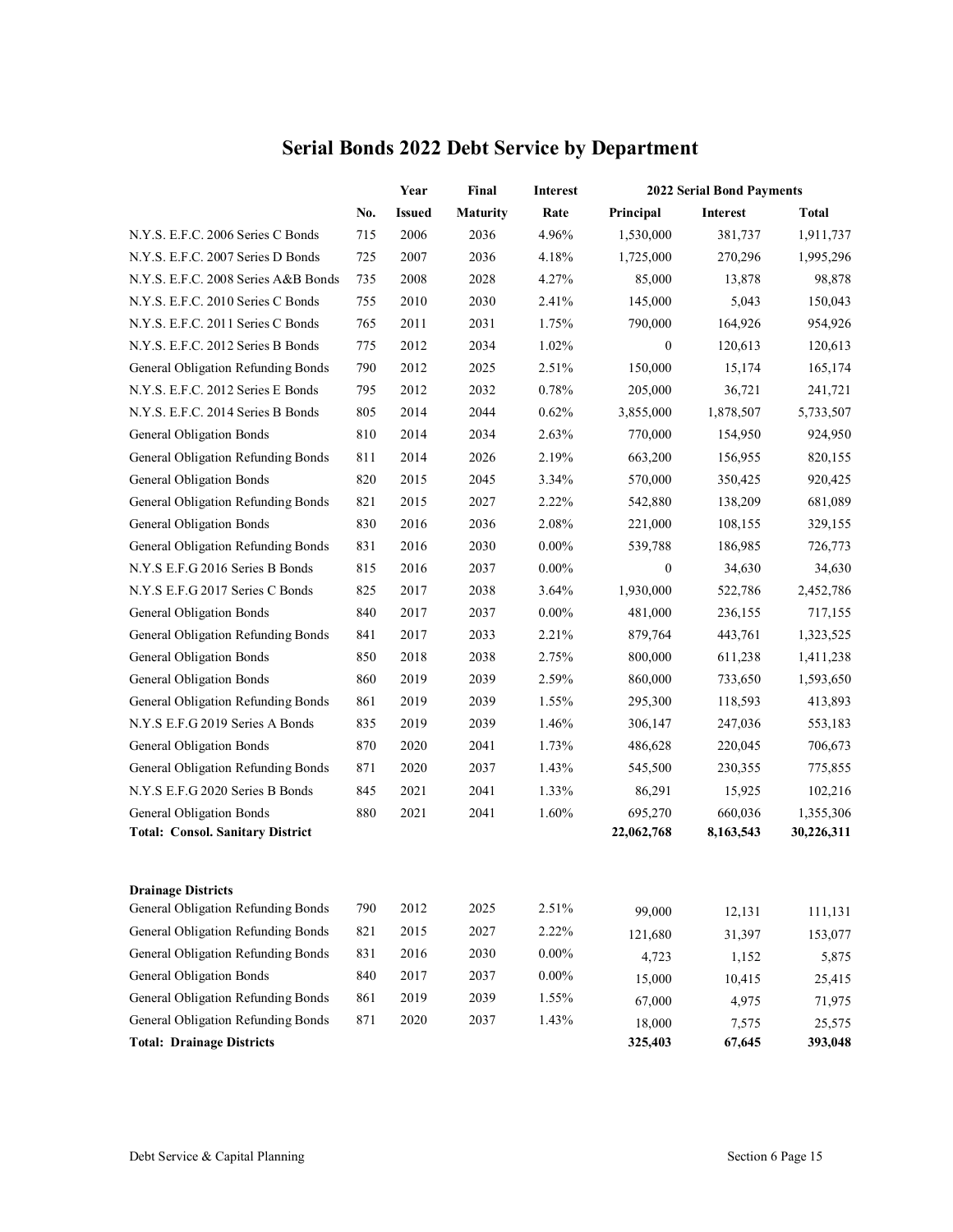|                                         |     | Year          | Final           | <b>Interest</b> | <b>2022 Serial Bond Payments</b> |           |              |
|-----------------------------------------|-----|---------------|-----------------|-----------------|----------------------------------|-----------|--------------|
|                                         | No. | <b>Issued</b> | <b>Maturity</b> | Rate            | Principal                        | Interest  | <b>Total</b> |
| N.Y.S. E.F.C. 2006 Series C Bonds       | 715 | 2006          | 2036            | 4.96%           | 1,530,000                        | 381,737   | 1,911,737    |
| N.Y.S. E.F.C. 2007 Series D Bonds       | 725 | 2007          | 2036            | 4.18%           | 1,725,000                        | 270,296   | 1,995,296    |
| N.Y.S. E.F.C. 2008 Series A&B Bonds     | 735 | 2008          | 2028            | 4.27%           | 85,000                           | 13,878    | 98,878       |
| N.Y.S. E.F.C. 2010 Series C Bonds       | 755 | 2010          | 2030            | 2.41%           | 145,000                          | 5,043     | 150,043      |
| N.Y.S. E.F.C. 2011 Series C Bonds       | 765 | 2011          | 2031            | 1.75%           | 790,000                          | 164,926   | 954,926      |
| N.Y.S. E.F.C. 2012 Series B Bonds       | 775 | 2012          | 2034            | 1.02%           | $\boldsymbol{0}$                 | 120,613   | 120,613      |
| General Obligation Refunding Bonds      | 790 | 2012          | 2025            | 2.51%           | 150,000                          | 15,174    | 165,174      |
| N.Y.S. E.F.C. 2012 Series E Bonds       | 795 | 2012          | 2032            | 0.78%           | 205,000                          | 36,721    | 241,721      |
| N.Y.S. E.F.C. 2014 Series B Bonds       | 805 | 2014          | 2044            | 0.62%           | 3,855,000                        | 1,878,507 | 5,733,507    |
| <b>General Obligation Bonds</b>         | 810 | 2014          | 2034            | 2.63%           | 770,000                          | 154,950   | 924,950      |
| General Obligation Refunding Bonds      | 811 | 2014          | 2026            | 2.19%           | 663,200                          | 156,955   | 820,155      |
| General Obligation Bonds                | 820 | 2015          | 2045            | 3.34%           | 570,000                          | 350,425   | 920,425      |
| General Obligation Refunding Bonds      | 821 | 2015          | 2027            | 2.22%           | 542,880                          | 138,209   | 681,089      |
| General Obligation Bonds                | 830 | 2016          | 2036            | 2.08%           | 221,000                          | 108,155   | 329,155      |
| General Obligation Refunding Bonds      | 831 | 2016          | 2030            | $0.00\%$        | 539,788                          | 186,985   | 726,773      |
| N.Y.S E.F.G 2016 Series B Bonds         | 815 | 2016          | 2037            | $0.00\%$        | $\boldsymbol{0}$                 | 34,630    | 34,630       |
| N.Y.S E.F.G 2017 Series C Bonds         | 825 | 2017          | 2038            | 3.64%           | 1,930,000                        | 522,786   | 2,452,786    |
| <b>General Obligation Bonds</b>         | 840 | 2017          | 2037            | $0.00\%$        | 481,000                          | 236,155   | 717,155      |
| General Obligation Refunding Bonds      | 841 | 2017          | 2033            | 2.21%           | 879,764                          | 443,761   | 1,323,525    |
| <b>General Obligation Bonds</b>         | 850 | 2018          | 2038            | 2.75%           | 800,000                          | 611,238   | 1,411,238    |
| <b>General Obligation Bonds</b>         | 860 | 2019          | 2039            | 2.59%           | 860,000                          | 733,650   | 1,593,650    |
| General Obligation Refunding Bonds      | 861 | 2019          | 2039            | 1.55%           | 295,300                          | 118,593   | 413,893      |
| N.Y.S E.F.G 2019 Series A Bonds         | 835 | 2019          | 2039            | 1.46%           | 306,147                          | 247,036   | 553,183      |
| General Obligation Bonds                | 870 | 2020          | 2041            | 1.73%           | 486,628                          | 220,045   | 706,673      |
| General Obligation Refunding Bonds      | 871 | 2020          | 2037            | 1.43%           | 545,500                          | 230,355   | 775,855      |
| N.Y.S E.F.G 2020 Series B Bonds         | 845 | 2021          | 2041            | 1.33%           | 86,291                           | 15,925    | 102,216      |
| General Obligation Bonds                | 880 | 2021          | 2041            | 1.60%           | 695,270                          | 660,036   | 1,355,306    |
| <b>Total: Consol. Sanitary District</b> |     |               |                 |                 | 22,062,768                       | 8,163,543 | 30,226,311   |
| <b>Drainage Districts</b>               |     |               |                 |                 |                                  |           |              |
| General Obligation Refunding Bonds      | 790 | 2012          | 2025            | 2.51%           | 99,000                           | 12,131    | 111,131      |
| General Obligation Refunding Bonds      | 821 | 2015          | 2027            | 2.22%           | 121,680                          | 31,397    | 153,077      |
| General Obligation Refunding Bonds      | 831 | 2016          | 2030            | $0.00\%$        | 4,723                            | 1,152     | 5,875        |
| <b>General Obligation Bonds</b>         | 840 | 2017          | 2037            | $0.00\%$        | 15,000                           | 10,415    | 25,415       |
| General Obligation Refunding Bonds      | 861 | 2019          | 2039            | 1.55%           | 67,000                           | 4,975     | 71,975       |
| General Obligation Refunding Bonds      | 871 | 2020          | 2037            | 1.43%           | 18,000                           | 7,575     | 25,575       |
| <b>Total: Drainage Districts</b>        |     |               |                 |                 | 325,403                          | 67,645    | 393,048      |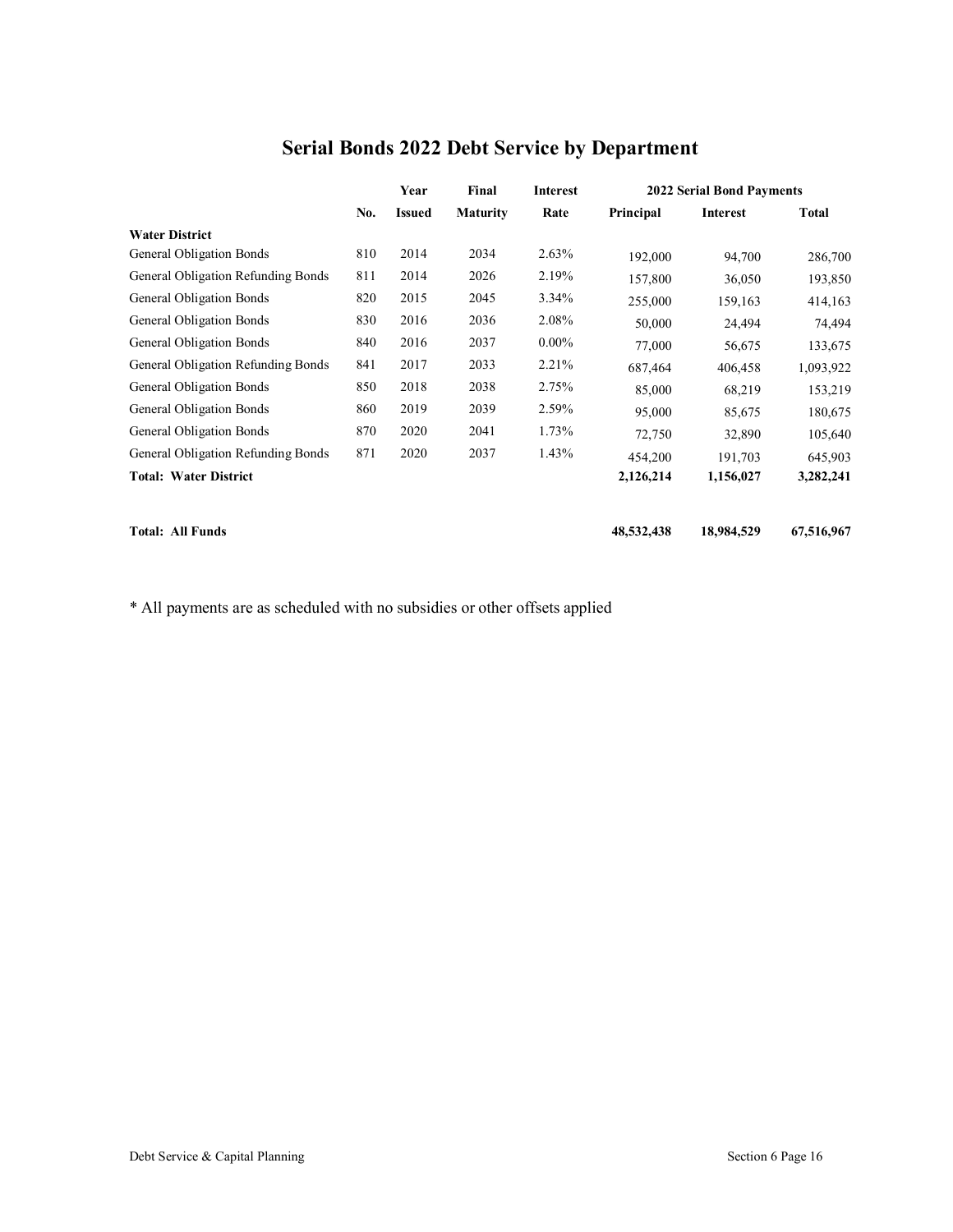|                                    |     | Year          | Final           | <b>Interest</b> | <b>2022 Serial Bond Payments</b> |                 |              |
|------------------------------------|-----|---------------|-----------------|-----------------|----------------------------------|-----------------|--------------|
|                                    | No. | <b>Issued</b> | <b>Maturity</b> | Rate            | Principal                        | <b>Interest</b> | <b>Total</b> |
| <b>Water District</b>              |     |               |                 |                 |                                  |                 |              |
| General Obligation Bonds           | 810 | 2014          | 2034            | 2.63%           | 192,000                          | 94,700          | 286,700      |
| General Obligation Refunding Bonds | 811 | 2014          | 2026            | 2.19%           | 157,800                          | 36,050          | 193,850      |
| General Obligation Bonds           | 820 | 2015          | 2045            | 3.34%           | 255,000                          | 159,163         | 414,163      |
| General Obligation Bonds           | 830 | 2016          | 2036            | 2.08%           | 50,000                           | 24,494          | 74,494       |
| General Obligation Bonds           | 840 | 2016          | 2037            | $0.00\%$        | 77,000                           | 56,675          | 133,675      |
| General Obligation Refunding Bonds | 841 | 2017          | 2033            | 2.21%           | 687,464                          | 406,458         | 1,093,922    |
| General Obligation Bonds           | 850 | 2018          | 2038            | 2.75%           | 85,000                           | 68,219          | 153,219      |
| General Obligation Bonds           | 860 | 2019          | 2039            | 2.59%           | 95,000                           | 85,675          | 180,675      |
| General Obligation Bonds           | 870 | 2020          | 2041            | 1.73%           | 72,750                           | 32,890          | 105,640      |
| General Obligation Refunding Bonds | 871 | 2020          | 2037            | 1.43%           | 454,200                          | 191,703         | 645,903      |
| <b>Total: Water District</b>       |     |               |                 |                 | 2,126,214                        | 1,156,027       | 3,282,241    |
| <b>Total: All Funds</b>            |     |               |                 |                 | 48,532,438                       | 18,984,529      | 67,516,967   |

\* All payments are as scheduled with no subsidies or other offsets applied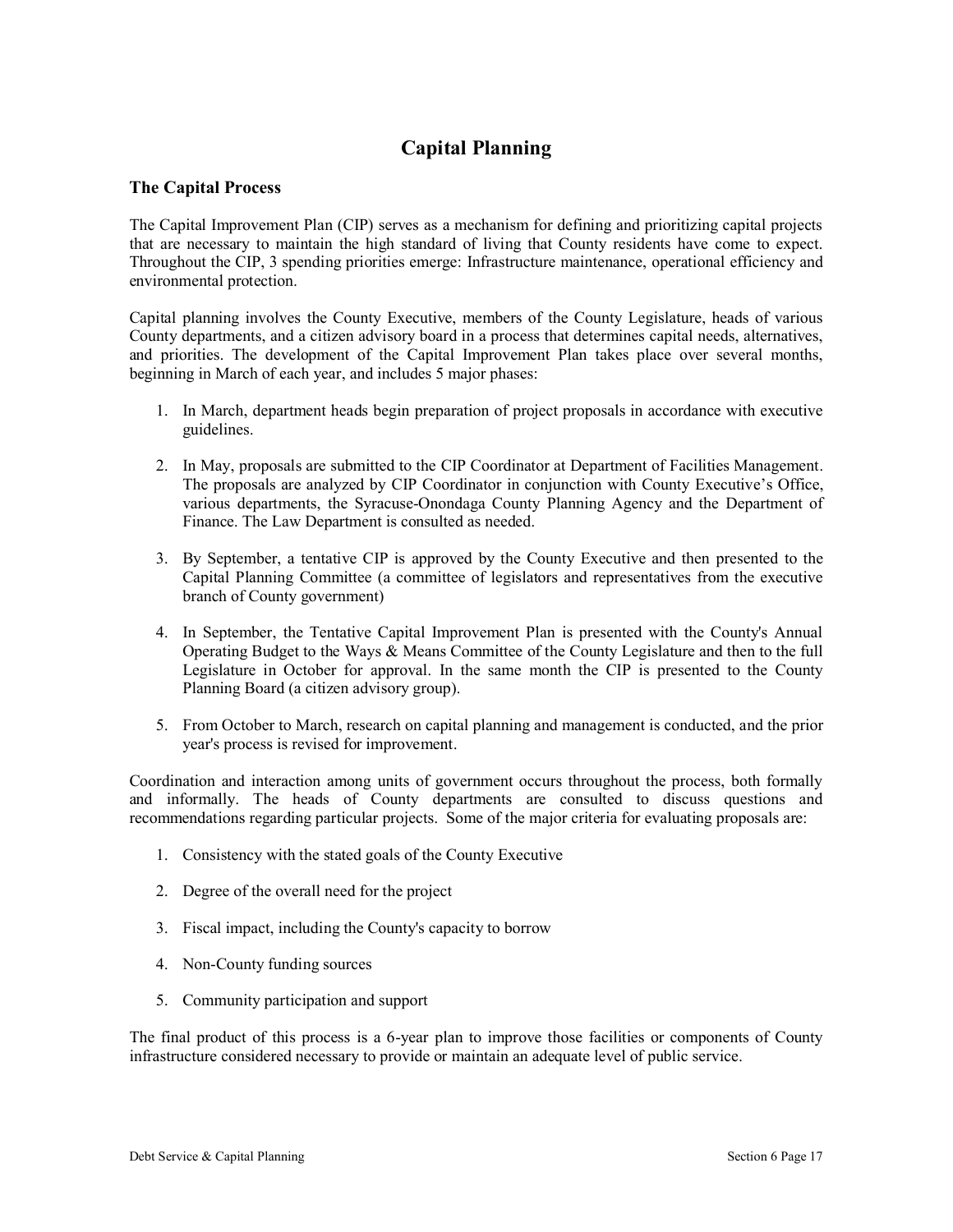### **Capital Planning**

#### **The Capital Process**

The Capital Improvement Plan (CIP) serves as a mechanism for defining and prioritizing capital projects that are necessary to maintain the high standard of living that County residents have come to expect. Throughout the CIP, 3 spending priorities emerge: Infrastructure maintenance, operational efficiency and environmental protection.

Capital planning involves the County Executive, members of the County Legislature, heads of various County departments, and a citizen advisory board in a process that determines capital needs, alternatives, and priorities. The development of the Capital Improvement Plan takes place over several months, beginning in March of each year, and includes 5 major phases:

- 1. In March, department heads begin preparation of project proposals in accordance with executive guidelines.
- 2. In May, proposals are submitted to the CIP Coordinator at Department of Facilities Management. The proposals are analyzed by CIP Coordinator in conjunction with County Executive's Office, various departments, the Syracuse-Onondaga County Planning Agency and the Department of Finance. The Law Department is consulted as needed.
- 3. By September, a tentative CIP is approved by the County Executive and then presented to the Capital Planning Committee (a committee of legislators and representatives from the executive branch of County government)
- 4. In September, the Tentative Capital Improvement Plan is presented with the County's Annual Operating Budget to the Ways & Means Committee of the County Legislature and then to the full Legislature in October for approval. In the same month the CIP is presented to the County Planning Board (a citizen advisory group).
- 5. From October to March, research on capital planning and management is conducted, and the prior year's process is revised for improvement.

Coordination and interaction among units of government occurs throughout the process, both formally and informally. The heads of County departments are consulted to discuss questions and recommendations regarding particular projects. Some of the major criteria for evaluating proposals are:

- 1. Consistency with the stated goals of the County Executive
- 2. Degree of the overall need for the project
- 3. Fiscal impact, including the County's capacity to borrow
- 4. Non-County funding sources
- 5. Community participation and support

The final product of this process is a 6-year plan to improve those facilities or components of County infrastructure considered necessary to provide or maintain an adequate level of public service.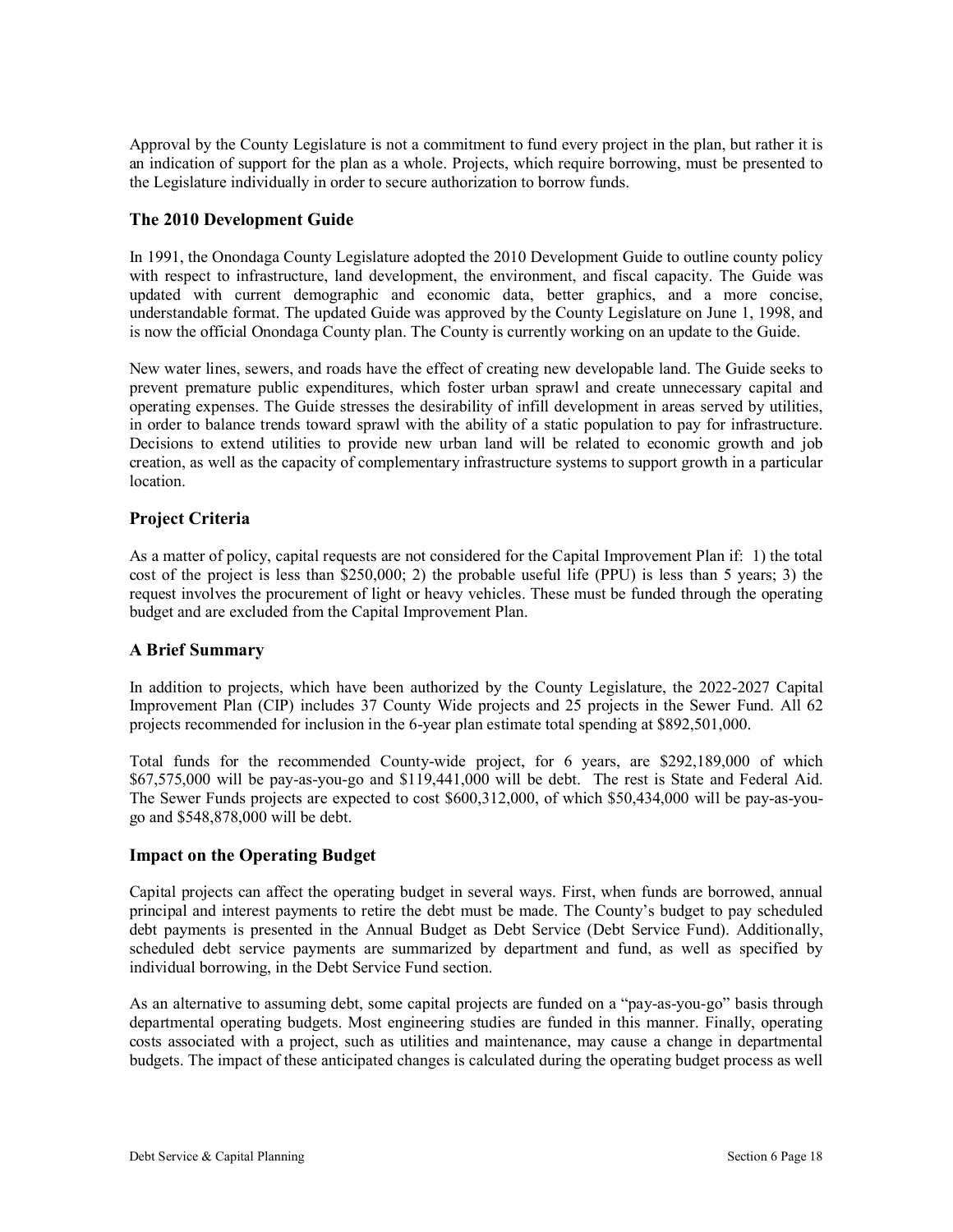Approval by the County Legislature is not a commitment to fund every project in the plan, but rather it is an indication of support for the plan as a whole. Projects, which require borrowing, must be presented to the Legislature individually in order to secure authorization to borrow funds.

#### **The 2010 Development Guide**

In 1991, the Onondaga County Legislature adopted the 2010 Development Guide to outline county policy with respect to infrastructure, land development, the environment, and fiscal capacity. The Guide was updated with current demographic and economic data, better graphics, and a more concise, understandable format. The updated Guide was approved by the County Legislature on June 1, 1998, and is now the official Onondaga County plan. The County is currently working on an update to the Guide.

New water lines, sewers, and roads have the effect of creating new developable land. The Guide seeks to prevent premature public expenditures, which foster urban sprawl and create unnecessary capital and operating expenses. The Guide stresses the desirability of infill development in areas served by utilities, in order to balance trends toward sprawl with the ability of a static population to pay for infrastructure. Decisions to extend utilities to provide new urban land will be related to economic growth and job creation, as well as the capacity of complementary infrastructure systems to support growth in a particular location.

#### **Project Criteria**

As a matter of policy, capital requests are not considered for the Capital Improvement Plan if: 1) the total cost of the project is less than \$250,000; 2) the probable useful life (PPU) is less than 5 years; 3) the request involves the procurement of light or heavy vehicles. These must be funded through the operating budget and are excluded from the Capital Improvement Plan.

#### **A Brief Summary**

In addition to projects, which have been authorized by the County Legislature, the 2022-2027 Capital Improvement Plan (CIP) includes 37 County Wide projects and 25 projects in the Sewer Fund. All 62 projects recommended for inclusion in the 6-year plan estimate total spending at \$892,501,000.

Total funds for the recommended County-wide project, for 6 years, are \$292,189,000 of which \$67,575,000 will be pay-as-you-go and \$119,441,000 will be debt. The rest is State and Federal Aid. The Sewer Funds projects are expected to cost \$600,312,000, of which \$50,434,000 will be pay-as-yougo and \$548,878,000 will be debt.

#### **Impact on the Operating Budget**

Capital projects can affect the operating budget in several ways. First, when funds are borrowed, annual principal and interest payments to retire the debt must be made. The County's budget to pay scheduled debt payments is presented in the Annual Budget as Debt Service (Debt Service Fund). Additionally, scheduled debt service payments are summarized by department and fund, as well as specified by individual borrowing, in the Debt Service Fund section.

As an alternative to assuming debt, some capital projects are funded on a "pay-as-you-go" basis through departmental operating budgets. Most engineering studies are funded in this manner. Finally, operating costs associated with a project, such as utilities and maintenance, may cause a change in departmental budgets. The impact of these anticipated changes is calculated during the operating budget process as well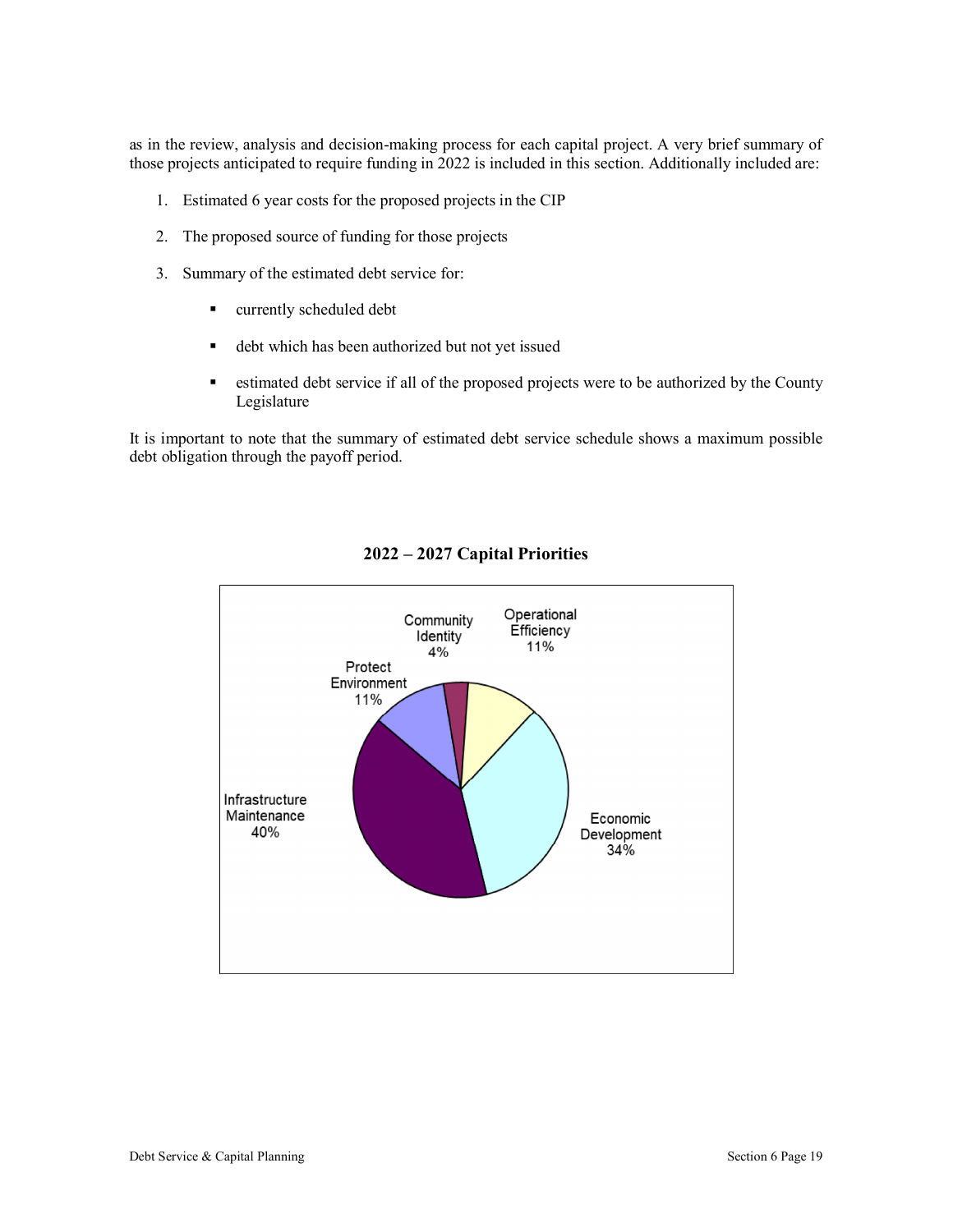as in the review, analysis and decision-making process for each capital project. A very brief summary of those projects anticipated to require funding in 2022 is included in this section. Additionally included are:

- 1. Estimated 6 year costs for the proposed projects in the CIP
- 2. The proposed source of funding for those projects
- 3. Summary of the estimated debt service for:
	- § currently scheduled debt
	- debt which has been authorized but not yet issued
	- estimated debt service if all of the proposed projects were to be authorized by the County Legislature

It is important to note that the summary of estimated debt service schedule shows a maximum possible debt obligation through the payoff period.



### **2022** – **2027 Capital Priorities**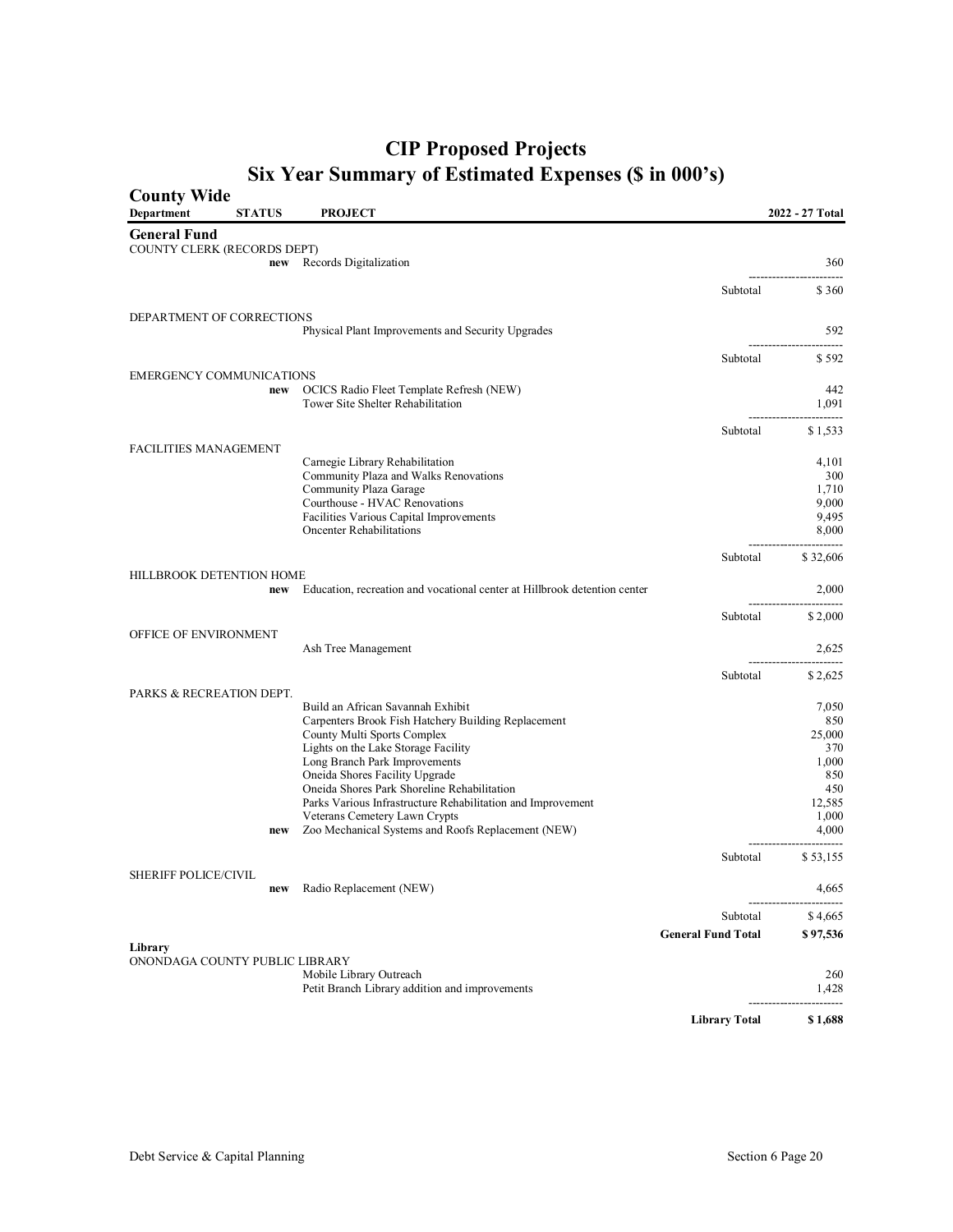#### **County Wide Department STATUS PROJECT 2022 - 27 Total General Fund**  COUNTY CLERK (RECORDS DEPT) **new** Records Digitalization 360 ------------------------ Subtotal \$360 DEPARTMENT OF CORRECTIONS Physical Plant Improvements and Security Upgrades 592 ------------------------ Subtotal \$592 EMERGENCY COMMUNICATIONS **new** OCICS Radio Fleet Template Refresh (NEW) 442<br>Tower Site Shelter Rehabilitation 1.091 Tower Site Shelter Rehabilitation ------------------------ Subtotal \$1,533 FACILITIES MANAGEMENT Carnegie Library Rehabilitation 4,101 Community Plaza and Walks Renovations 4,101 Community Plaza and Walks Renovations 300<br>
Community Plaza Garage 1,710 Community Plaza Garage 1,710<br>Courthouse - HVAC Renovations 9,000 Courthouse - HVAC Renovations 9,000<br>
Facilities Various Capital Improvements 9,495 Facilities Various Capital Improvements 9,495<br>Oncenter Rehabilitations 8,000 Oncenter Rehabilitations ------------------------ Subtotal \$32,606 HILLBROOK DETENTION HOME new H Education, recreation and vocational center at Hillbrook detention center 2,000 ------------------------ Subtotal \$2,000 OFFICE OF ENVIRONMENT Ash Tree Management 2,625 ------------------------  $\text{Subtotal}$   $\text{\$2,625}$ PARKS & RECREATION DEPT. Build an African Savannah Exhibit<br>Carnenters Brook Fish Hatchery Building Replacement 850 850 Carpenters Brook Fish Hatchery Building Replacement 850<br>County Multi Sports Complex 25,000 County Multi Sports Complex 25,000<br>
Lights on the Lake Storage Facility 370 Lights on the Lake Storage Facility 370<br>
Long Branch Park Improvements 1,000 Long Branch Park Improvements Oneida Shores Facility Upgrade 850<br>
Oneida Shores Park Shoreline Rehabilitation 450<br>
And Ashores Park Shoreline Rehabilitation 450 Oneida Shores Park Shoreline Rehabilitation<br>
Parks Various Infrastructure Rehabilitation and Improvement<br>
12.585 Parks Various Infrastructure Rehabilitation and Improvement Veterans Cemetery Lawn Crypts 1,000<br>
Zoo Mechanical Systems and Roofs Replacement (NEW) 4,000 **new** Zoo Mechanical Systems and Roofs Replacement (NEW) ------------------------ Subtotal \$53,155 SHERIFF POLICE/CIVIL **new** Radio Replacement (NEW) 4,665 ------------------------ Subtotal \$4,665 **General Fund Total \$ 97,536 Library**  ONONDAGA COUNTY PUBLIC LIBRARY Mobile Library Outreach 260 Petit Branch Library addition and improvements 1,428 ------------------------ **Library Total \$ 1,688**

### **CIP Proposed Projects**  Six Year Summary of Estimated Expenses (\$ in 000's)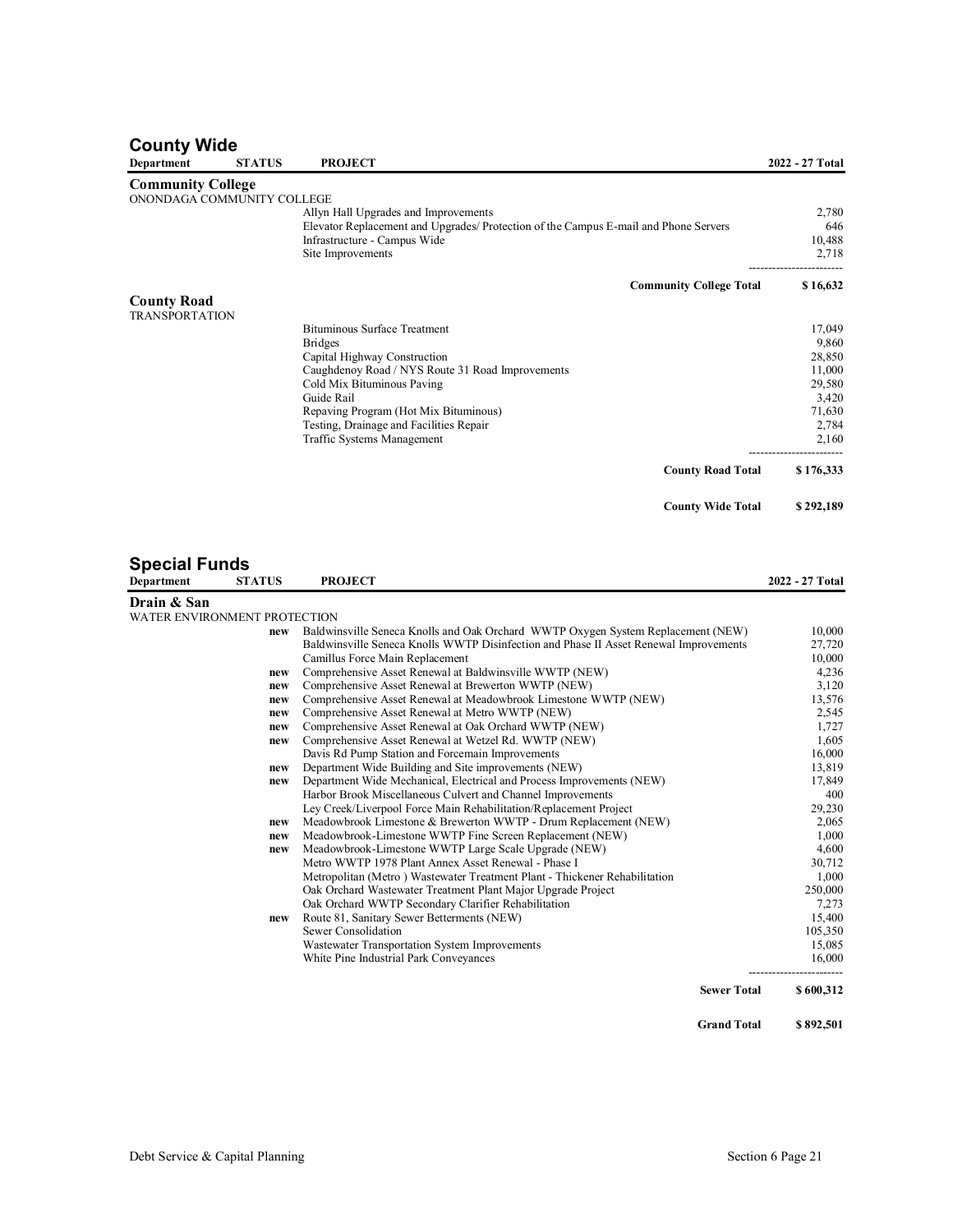| <b>County Wide</b>           |               |                                                                                                                  |                  |
|------------------------------|---------------|------------------------------------------------------------------------------------------------------------------|------------------|
| Department                   | <b>STATUS</b> | <b>PROJECT</b>                                                                                                   | 2022 - 27 Total  |
| <b>Community College</b>     |               |                                                                                                                  |                  |
| ONONDAGA COMMUNITY COLLEGE   |               |                                                                                                                  |                  |
|                              |               | Allyn Hall Upgrades and Improvements                                                                             | 2,780            |
|                              |               | Elevator Replacement and Upgrades/Protection of the Campus E-mail and Phone Servers                              | 646              |
|                              |               | Infrastructure - Campus Wide                                                                                     | 10,488           |
|                              |               | Site Improvements                                                                                                | 2,718            |
| <b>County Road</b>           |               | <b>Community College Total</b>                                                                                   | \$16,632         |
| <b>TRANSPORTATION</b>        |               |                                                                                                                  |                  |
|                              |               | Bituminous Surface Treatment                                                                                     | 17,049           |
|                              |               | <b>Bridges</b>                                                                                                   | 9,860            |
|                              |               | Capital Highway Construction                                                                                     | 28,850           |
|                              |               | Caughdenoy Road / NYS Route 31 Road Improvements<br>Cold Mix Bituminous Paving                                   | 11,000<br>29,580 |
|                              |               | Guide Rail                                                                                                       | 3,420            |
|                              |               | Repaving Program (Hot Mix Bituminous)                                                                            | 71,630           |
|                              |               | Testing, Drainage and Facilities Repair                                                                          | 2,784            |
|                              |               | Traffic Systems Management                                                                                       | 2,160            |
|                              |               | <b>County Road Total</b>                                                                                         | \$176,333        |
|                              |               | <b>County Wide Total</b>                                                                                         | \$292,189        |
|                              |               |                                                                                                                  |                  |
| <b>Special Funds</b>         | <b>STATUS</b> |                                                                                                                  |                  |
| <b>Department</b>            |               | <b>PROJECT</b>                                                                                                   | 2022 - 27 Total  |
| Drain & San                  |               |                                                                                                                  |                  |
| WATER ENVIRONMENT PROTECTION | new           | Baldwinsville Seneca Knolls and Oak Orchard WWTP Oxygen System Replacement (NEW)                                 | 10,000           |
|                              |               | Baldwinsville Seneca Knolls WWTP Disinfection and Phase II Asset Renewal Improvements                            | 27,720           |
|                              |               | Camillus Force Main Replacement                                                                                  | 10,000           |
|                              | new           | Comprehensive Asset Renewal at Baldwinsville WWTP (NEW)                                                          | 4,236            |
|                              | new           | Comprehensive Asset Renewal at Brewerton WWTP (NEW)                                                              | 3,120            |
|                              | new           | Comprehensive Asset Renewal at Meadowbrook Limestone WWTP (NEW)                                                  | 13,576           |
|                              | new           | Comprehensive Asset Renewal at Metro WWTP (NEW)                                                                  | 2,545            |
|                              | new<br>new    | Comprehensive Asset Renewal at Oak Orchard WWTP (NEW)<br>Comprehensive Asset Renewal at Wetzel Rd. WWTP (NEW)    | 1,727<br>1,605   |
|                              |               | Davis Rd Pump Station and Forcemain Improvements                                                                 | 16,000           |
|                              | new           | Department Wide Building and Site improvements (NEW)                                                             | 13,819           |
|                              | new           | Department Wide Mechanical, Electrical and Process Improvements (NEW)                                            | 17,849           |
|                              |               | Harbor Brook Miscellaneous Culvert and Channel Improvements                                                      | 400              |
|                              |               | Ley Creek/Liverpool Force Main Rehabilitation/Replacement Project                                                | 29,230           |
|                              | new           | Meadowbrook Limestone & Brewerton WWTP - Drum Replacement (NEW)                                                  | 2,065            |
|                              |               | Meadowbrook-Limestone WWTP Fine Screen Replacement (NEW)<br>Meadowbrook-Limestone WWTP Large Scale Upgrade (NEW) | 1,000            |
|                              | new           | Metro WWTP 1978 Plant Annex Asset Renewal - Phase I                                                              | 4,600<br>30,712  |
|                              |               | Metropolitan (Metro) Wastewater Treatment Plant - Thickener Rehabilitation                                       | 1,000            |
|                              |               | Oak Orchard Wastewater Treatment Plant Major Upgrade Project                                                     | 250,000          |
|                              |               | Oak Orchard WWTP Secondary Clarifier Rehabilitation                                                              | 7,273            |
|                              | new           | Route 81, Sanitary Sewer Betterments (NEW)                                                                       | 15,400           |
|                              |               | Sewer Consolidation                                                                                              | 105,350          |
|                              |               | Wastewater Transportation System Improvements<br>White Pine Industrial Park Conveyances                          | 15,085<br>16,000 |
|                              |               |                                                                                                                  |                  |
|                              |               | <b>Sewer Total</b>                                                                                               | \$600,312        |

**Grand Total \$ 892,501**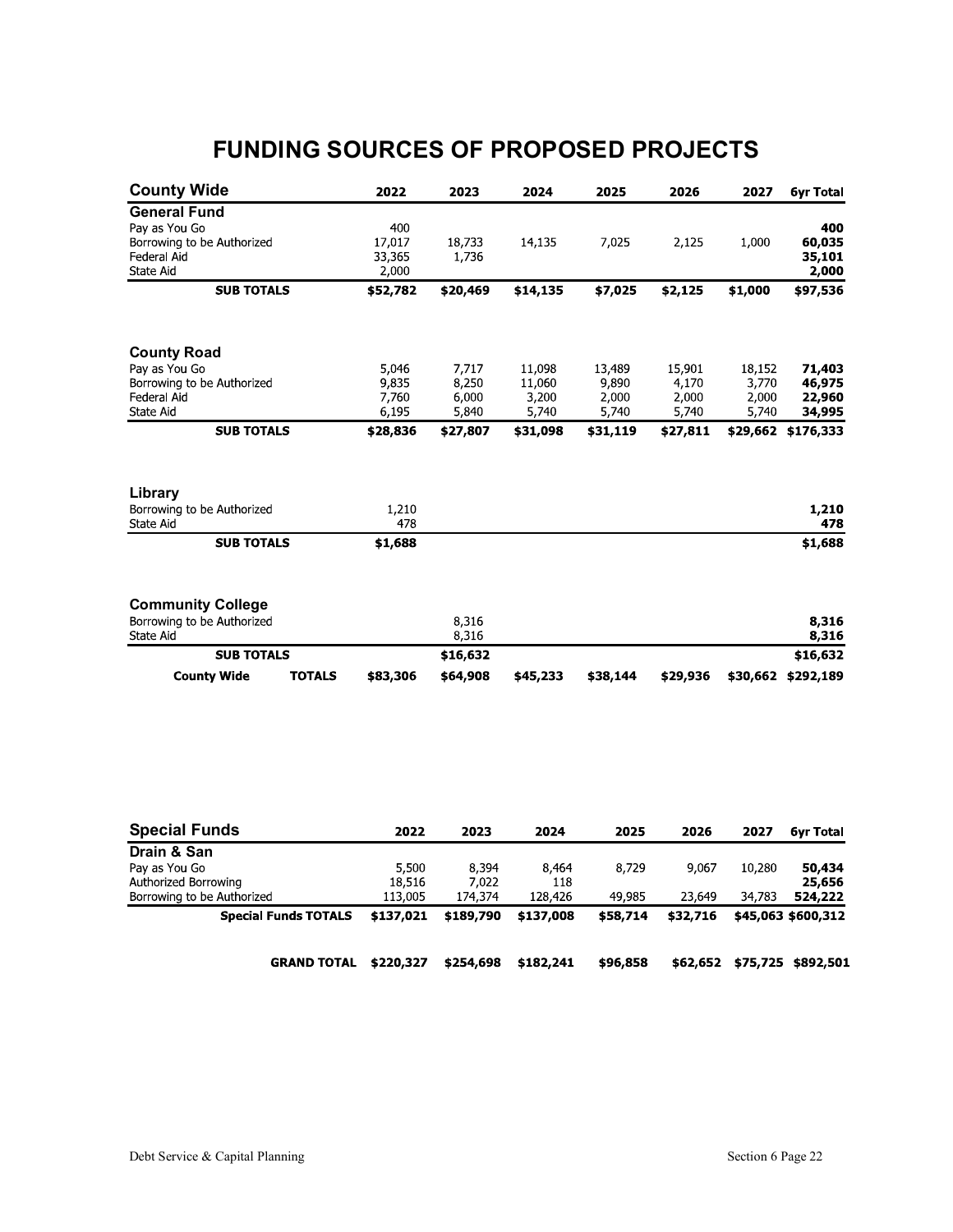# **FUNDING SOURCES OF PROPOSED PROJECTS**

| <b>County Wide</b>                                                      | 2022                             | 2023                    | 2024                     | 2025                    | 2026                    | 2027                              | 6yr Total                        |
|-------------------------------------------------------------------------|----------------------------------|-------------------------|--------------------------|-------------------------|-------------------------|-----------------------------------|----------------------------------|
| <b>General Fund</b>                                                     |                                  |                         |                          |                         |                         |                                   |                                  |
| Pay as You Go<br>Borrowing to be Authorized<br>Federal Aid<br>State Aid | 400<br>17,017<br>33,365<br>2,000 | 18,733<br>1,736         | 14,135                   | 7,025                   | 2,125                   | 1,000                             | 400<br>60,035<br>35,101<br>2,000 |
| <b>SUB TOTALS</b>                                                       | \$52,782                         | \$20,469                | \$14,135                 | \$7,025                 | \$2,125                 | \$1,000                           | \$97,536                         |
| <b>County Road</b><br>Pay as You Go                                     | 5,046                            | 7,717                   | 11,098                   | 13,489                  | 15,901                  |                                   | 71,403                           |
| Borrowing to be Authorized<br>Federal Aid<br>State Aid                  | 9,835<br>7,760<br>6,195          | 8,250<br>6,000<br>5,840 | 11,060<br>3,200<br>5,740 | 9,890<br>2,000<br>5,740 | 4,170<br>2,000<br>5,740 | 18,152<br>3,770<br>2,000<br>5,740 | 46,975<br>22,960<br>34,995       |
| <b>SUB TOTALS</b>                                                       | \$28,836                         | \$27,807                | \$31,098                 | \$31,119                | \$27,811                |                                   | \$29,662 \$176,333               |
| Library<br>Borrowing to be Authorized                                   | 1,210                            |                         |                          |                         |                         |                                   | 1,210                            |
| State Aid                                                               | 478                              |                         |                          |                         |                         |                                   | 478                              |
| <b>SUB TOTALS</b>                                                       | \$1,688                          |                         |                          |                         |                         |                                   | \$1,688                          |
| <b>Community College</b><br>Borrowing to be Authorized<br>State Aid     |                                  | 8,316<br>8,316          |                          |                         |                         |                                   | 8,316<br>8,316                   |
| <b>SUB TOTALS</b>                                                       |                                  | \$16,632                |                          |                         |                         |                                   | \$16,632                         |
| <b>County Wide</b><br><b>TOTALS</b>                                     | \$83,306                         | \$64,908                | \$45,233                 | \$38,144                | \$29,936                |                                   | \$30,662 \$292,189               |
|                                                                         |                                  |                         |                          |                         |                         |                                   |                                  |
| <b>Special Funds</b>                                                    | 2022                             | 2023                    | 2024                     | 2025                    | 2026                    | 2027                              | 6yr Total                        |
| Drain & San<br>Pay as You Go<br>Authorized Borrowing                    | 5,500<br>18,516                  | 8,394<br>7,022          | 8,464<br>118             | 8,729                   | 9,067                   | 10,280                            | 50,434<br>25,656                 |
| Borrowing to be Authorized                                              | 113,005                          | 174,374                 | 128,426                  | 49,985                  | 23,649                  | 34,783                            | 524,222                          |
| <b>Special Funds TOTALS</b>                                             | \$137,021                        | \$189,790               | \$137,008                | \$58,714                | \$32,716                |                                   | \$45,063 \$600,312               |
| <b>GRAND TOTAL</b>                                                      | \$220,327                        | \$254,698               | \$182,241                | \$96,858                | \$62,652                |                                   | \$75,725 \$892,501               |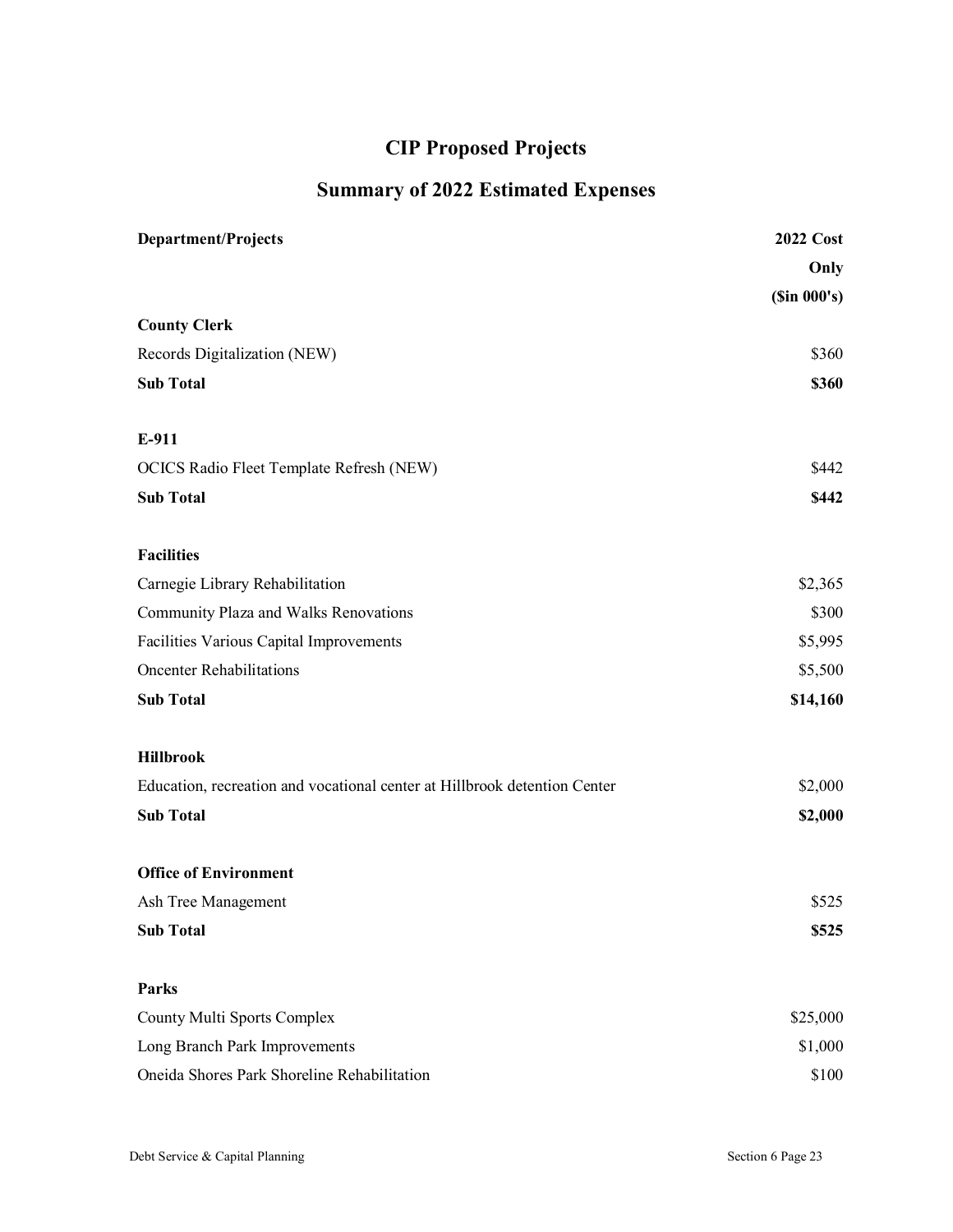# **CIP Proposed Projects**

# **Summary of 2022 Estimated Expenses**

| <b>Department/Projects</b>                                                | 2022 Cost   |
|---------------------------------------------------------------------------|-------------|
|                                                                           | Only        |
|                                                                           | (Sin 000's) |
| <b>County Clerk</b>                                                       |             |
| Records Digitalization (NEW)                                              | \$360       |
| <b>Sub Total</b>                                                          | \$360       |
| E-911                                                                     |             |
| OCICS Radio Fleet Template Refresh (NEW)                                  | \$442       |
| <b>Sub Total</b>                                                          | \$442       |
| <b>Facilities</b>                                                         |             |
| Carnegie Library Rehabilitation                                           | \$2,365     |
| Community Plaza and Walks Renovations                                     | \$300       |
| Facilities Various Capital Improvements                                   | \$5,995     |
| <b>Oncenter Rehabilitations</b>                                           | \$5,500     |
| <b>Sub Total</b>                                                          | \$14,160    |
| <b>Hillbrook</b>                                                          |             |
| Education, recreation and vocational center at Hillbrook detention Center | \$2,000     |
| <b>Sub Total</b>                                                          | \$2,000     |
| <b>Office of Environment</b>                                              |             |
| Ash Tree Management                                                       | \$525       |
| <b>Sub Total</b>                                                          | \$525       |
| Parks                                                                     |             |
| County Multi Sports Complex                                               | \$25,000    |
| Long Branch Park Improvements                                             | \$1,000     |
| Oneida Shores Park Shoreline Rehabilitation                               | \$100       |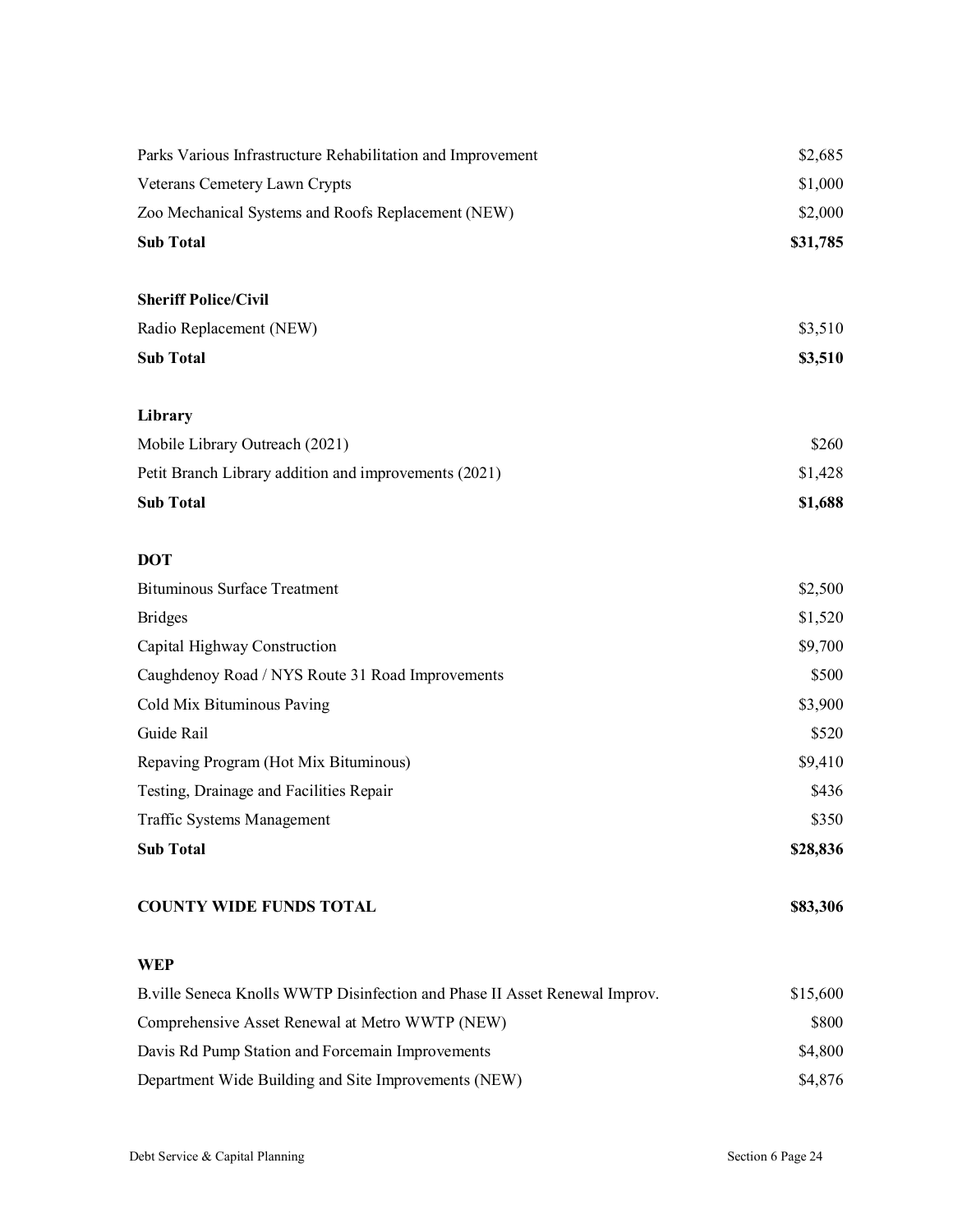| Parks Various Infrastructure Rehabilitation and Improvement                | \$2,685  |
|----------------------------------------------------------------------------|----------|
| Veterans Cemetery Lawn Crypts                                              | \$1,000  |
| Zoo Mechanical Systems and Roofs Replacement (NEW)                         | \$2,000  |
| <b>Sub Total</b>                                                           | \$31,785 |
| <b>Sheriff Police/Civil</b>                                                |          |
| Radio Replacement (NEW)                                                    | \$3,510  |
| <b>Sub Total</b>                                                           | \$3,510  |
| Library                                                                    |          |
| Mobile Library Outreach (2021)                                             | \$260    |
| Petit Branch Library addition and improvements (2021)                      | \$1,428  |
| <b>Sub Total</b>                                                           | \$1,688  |
| <b>DOT</b>                                                                 |          |
| <b>Bituminous Surface Treatment</b>                                        | \$2,500  |
| <b>Bridges</b>                                                             | \$1,520  |
| Capital Highway Construction                                               | \$9,700  |
| Caughdenoy Road / NYS Route 31 Road Improvements                           | \$500    |
| Cold Mix Bituminous Paving                                                 | \$3,900  |
| Guide Rail                                                                 | \$520    |
| Repaving Program (Hot Mix Bituminous)                                      | \$9,410  |
| Testing, Drainage and Facilities Repair                                    | \$436    |
| <b>Traffic Systems Management</b>                                          | \$350    |
| <b>Sub Total</b>                                                           | \$28,836 |
| <b>COUNTY WIDE FUNDS TOTAL</b>                                             | \$83,306 |
| <b>WEP</b>                                                                 |          |
| B.ville Seneca Knolls WWTP Disinfection and Phase II Asset Renewal Improv. | \$15,600 |
| Comprehensive Asset Renewal at Metro WWTP (NEW)                            | \$800    |
| Davis Rd Pump Station and Forcemain Improvements                           | \$4,800  |
| Department Wide Building and Site Improvements (NEW)                       | \$4,876  |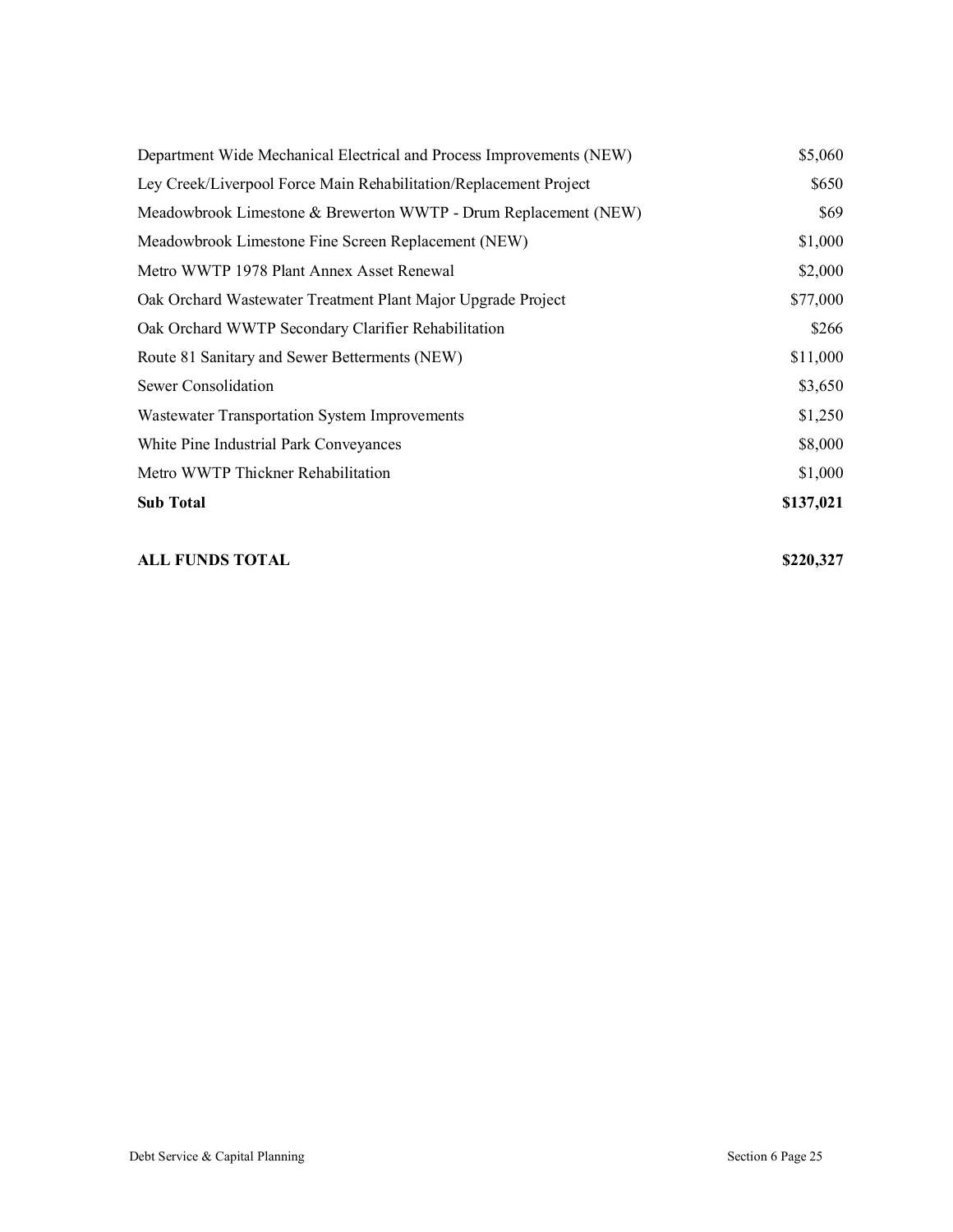| Department Wide Mechanical Electrical and Process Improvements (NEW) | \$5,060   |
|----------------------------------------------------------------------|-----------|
| Ley Creek/Liverpool Force Main Rehabilitation/Replacement Project    | \$650     |
| Meadowbrook Limestone & Brewerton WWTP - Drum Replacement (NEW)      | \$69      |
| Meadowbrook Limestone Fine Screen Replacement (NEW)                  | \$1,000   |
| Metro WWTP 1978 Plant Annex Asset Renewal                            | \$2,000   |
| Oak Orchard Wastewater Treatment Plant Major Upgrade Project         | \$77,000  |
| Oak Orchard WWTP Secondary Clarifier Rehabilitation                  | \$266     |
| Route 81 Sanitary and Sewer Betterments (NEW)                        | \$11,000  |
| Sewer Consolidation                                                  | \$3,650   |
| Wastewater Transportation System Improvements                        | \$1,250   |
| White Pine Industrial Park Conveyances                               | \$8,000   |
| Metro WWTP Thickner Rehabilitation                                   | \$1,000   |
| <b>Sub Total</b>                                                     | \$137,021 |

### **ALL FUNDS TOTAL \$220,327**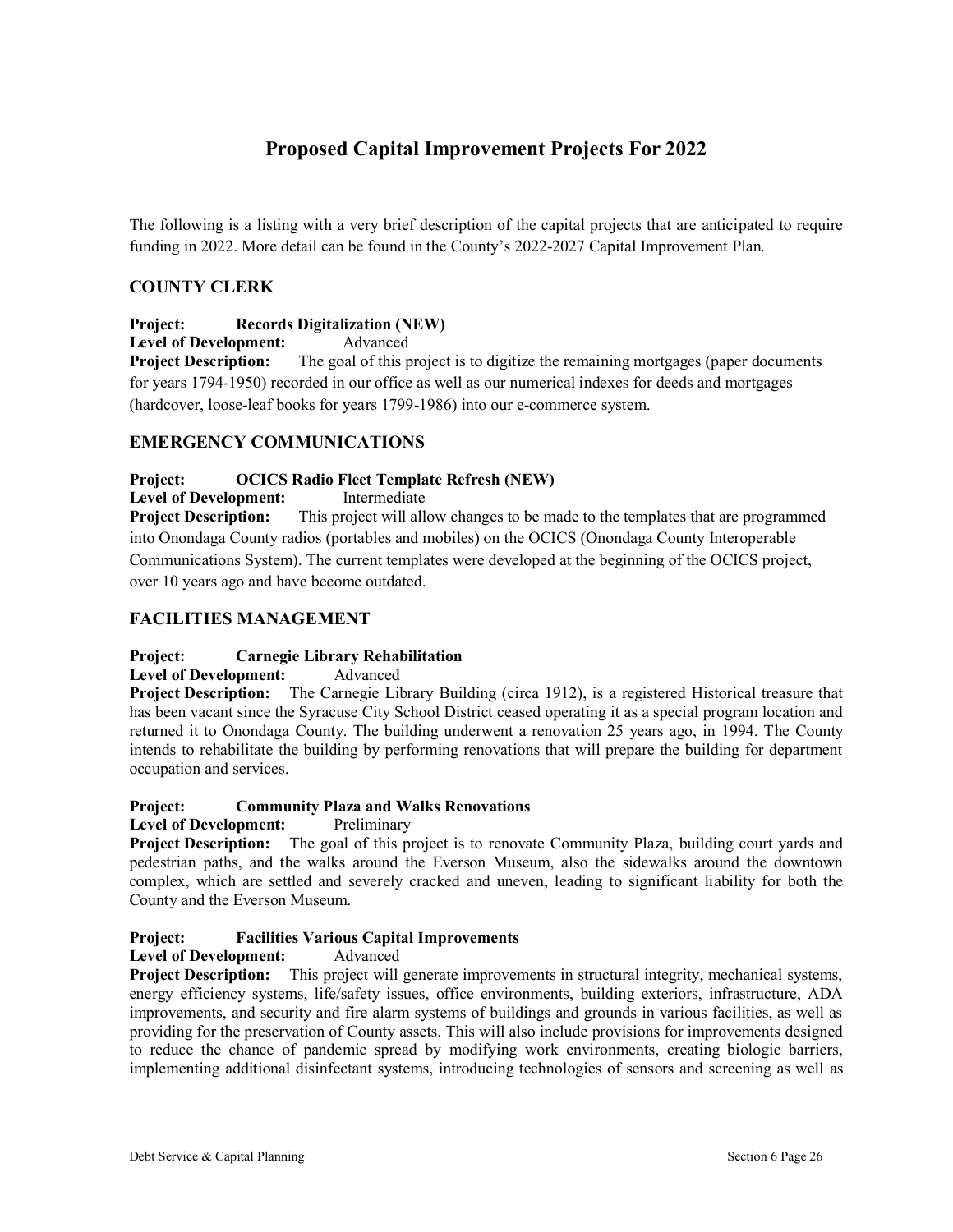### **Proposed Capital Improvement Projects For 2022**

The following is a listing with a very brief description of the capital projects that are anticipated to require funding in 2022. More detail can be found in the County's 2022-2027 Capital Improvement Plan.

#### **COUNTY CLERK**

**Project: Records Digitalization (NEW)** 

**Level of Development:** Advanced

**Project Description:** The goal of this project is to digitize the remaining mortgages (paper documents for years 1794-1950) recorded in our office as well as our numerical indexes for deeds and mortgages (hardcover, loose-leaf books for years 1799-1986) into our e-commerce system.

#### **EMERGENCY COMMUNICATIONS**

#### **Project: OCICS Radio Fleet Template Refresh (NEW)**

**Level of Development:** Intermediate

**Project Description:** This project will allow changes to be made to the templates that are programmed into Onondaga County radios (portables and mobiles) on the OCICS (Onondaga County Interoperable Communications System). The current templates were developed at the beginning of the OCICS project, over 10 years ago and have become outdated.

#### **FACILITIES MANAGEMENT**

#### **Project: Carnegie Library Rehabilitation**

**Level of Development:** Advanced

**Project Description:** The Carnegie Library Building (circa 1912), is a registered Historical treasure that has been vacant since the Syracuse City School District ceased operating it as a special program location and returned it to Onondaga County. The building underwent a renovation 25 years ago, in 1994. The County intends to rehabilitate the building by performing renovations that will prepare the building for department occupation and services.

#### **Project: Community Plaza and Walks Renovations**

#### Level of Development: Preliminary

**Project Description:** The goal of this project is to renovate Community Plaza, building court yards and pedestrian paths, and the walks around the Everson Museum, also the sidewalks around the downtown complex, which are settled and severely cracked and uneven, leading to significant liability for both the County and the Everson Museum.

#### **Project: Facilities Various Capital Improvements**

**Level of Development:** Advanced

**Project Description:** This project will generate improvements in structural integrity, mechanical systems, energy efficiency systems, life/safety issues, office environments, building exteriors, infrastructure, ADA improvements, and security and fire alarm systems of buildings and grounds in various facilities, as well as providing for the preservation of County assets. This will also include provisions for improvements designed to reduce the chance of pandemic spread by modifying work environments, creating biologic barriers, implementing additional disinfectant systems, introducing technologies of sensors and screening as well as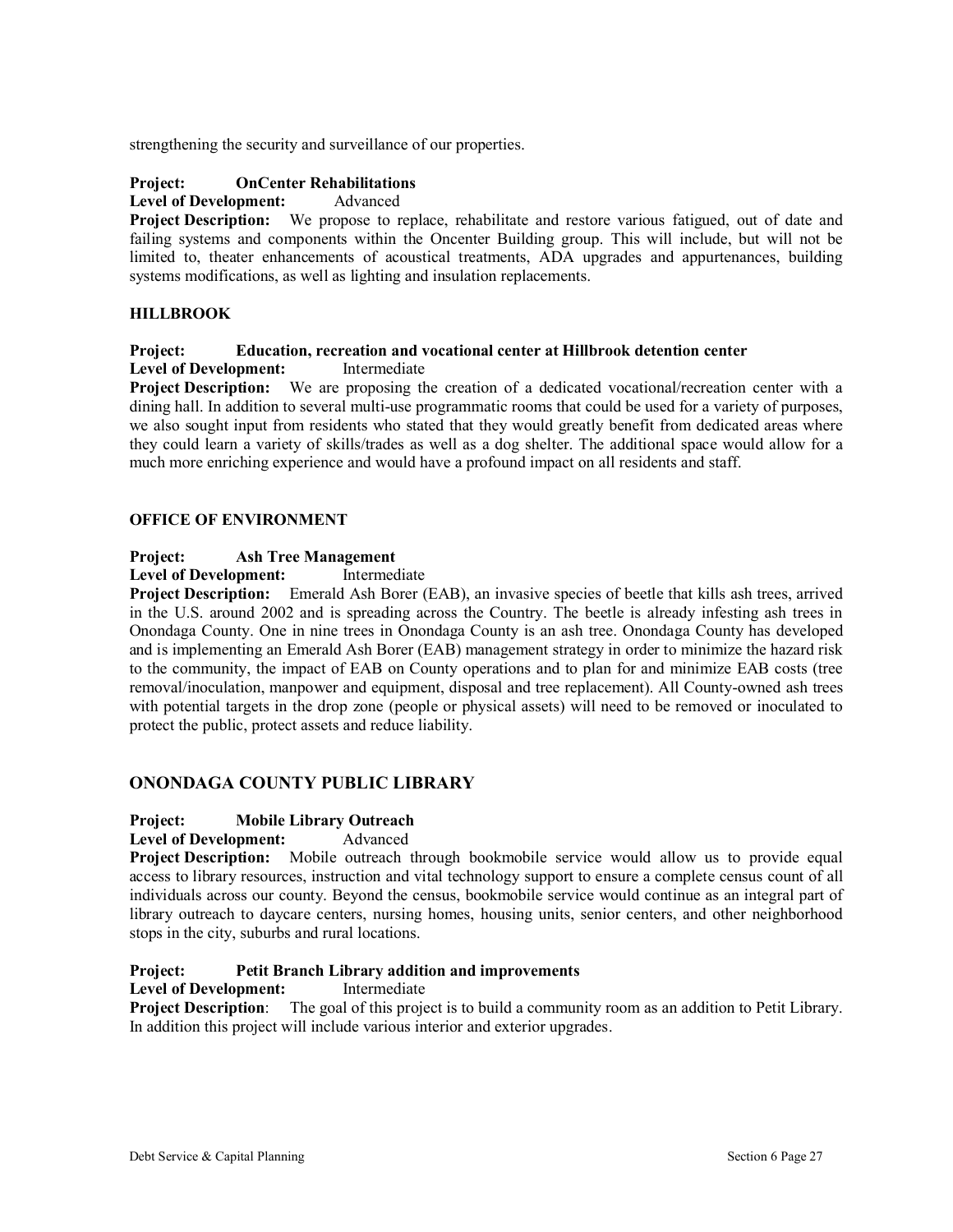strengthening the security and surveillance of our properties.

#### **Project: OnCenter Rehabilitations**

**Level of Development:** Advanced

**Project Description:** We propose to replace, rehabilitate and restore various fatigued, out of date and failing systems and components within the Oncenter Building group. This will include, but will not be limited to, theater enhancements of acoustical treatments, ADA upgrades and appurtenances, building systems modifications, as well as lighting and insulation replacements.

#### **HILLBROOK**

#### **Project: Education, recreation and vocational center at Hillbrook detention center**

**Level of Development:** Intermediate

**Project Description:** We are proposing the creation of a dedicated vocational/recreation center with a dining hall. In addition to several multi-use programmatic rooms that could be used for a variety of purposes, we also sought input from residents who stated that they would greatly benefit from dedicated areas where they could learn a variety of skills/trades as well as a dog shelter. The additional space would allow for a much more enriching experience and would have a profound impact on all residents and staff.

#### **OFFICE OF ENVIRONMENT**

#### **Project: Ash Tree Management**

Level of Development: Intermediate

**Project Description:** Emerald Ash Borer (EAB), an invasive species of beetle that kills ash trees, arrived in the U.S. around 2002 and is spreading across the Country. The beetle is already infesting ash trees in Onondaga County. One in nine trees in Onondaga County is an ash tree. Onondaga County has developed and is implementing an Emerald Ash Borer (EAB) management strategy in order to minimize the hazard risk to the community, the impact of EAB on County operations and to plan for and minimize EAB costs (tree removal/inoculation, manpower and equipment, disposal and tree replacement). All County-owned ash trees with potential targets in the drop zone (people or physical assets) will need to be removed or inoculated to protect the public, protect assets and reduce liability.

#### **ONONDAGA COUNTY PUBLIC LIBRARY**

#### **Project: Mobile Library Outreach**

**Level of Development:** Advanced

**Project Description:** Mobile outreach through bookmobile service would allow us to provide equal access to library resources, instruction and vital technology support to ensure a complete census count of all individuals across our county. Beyond the census, bookmobile service would continue as an integral part of library outreach to daycare centers, nursing homes, housing units, senior centers, and other neighborhood stops in the city, suburbs and rural locations.

#### **Project: Petit Branch Library addition and improvements**

**Level of Development:** Intermediate

**Project Description**: The goal of this project is to build a community room as an addition to Petit Library. In addition this project will include various interior and exterior upgrades.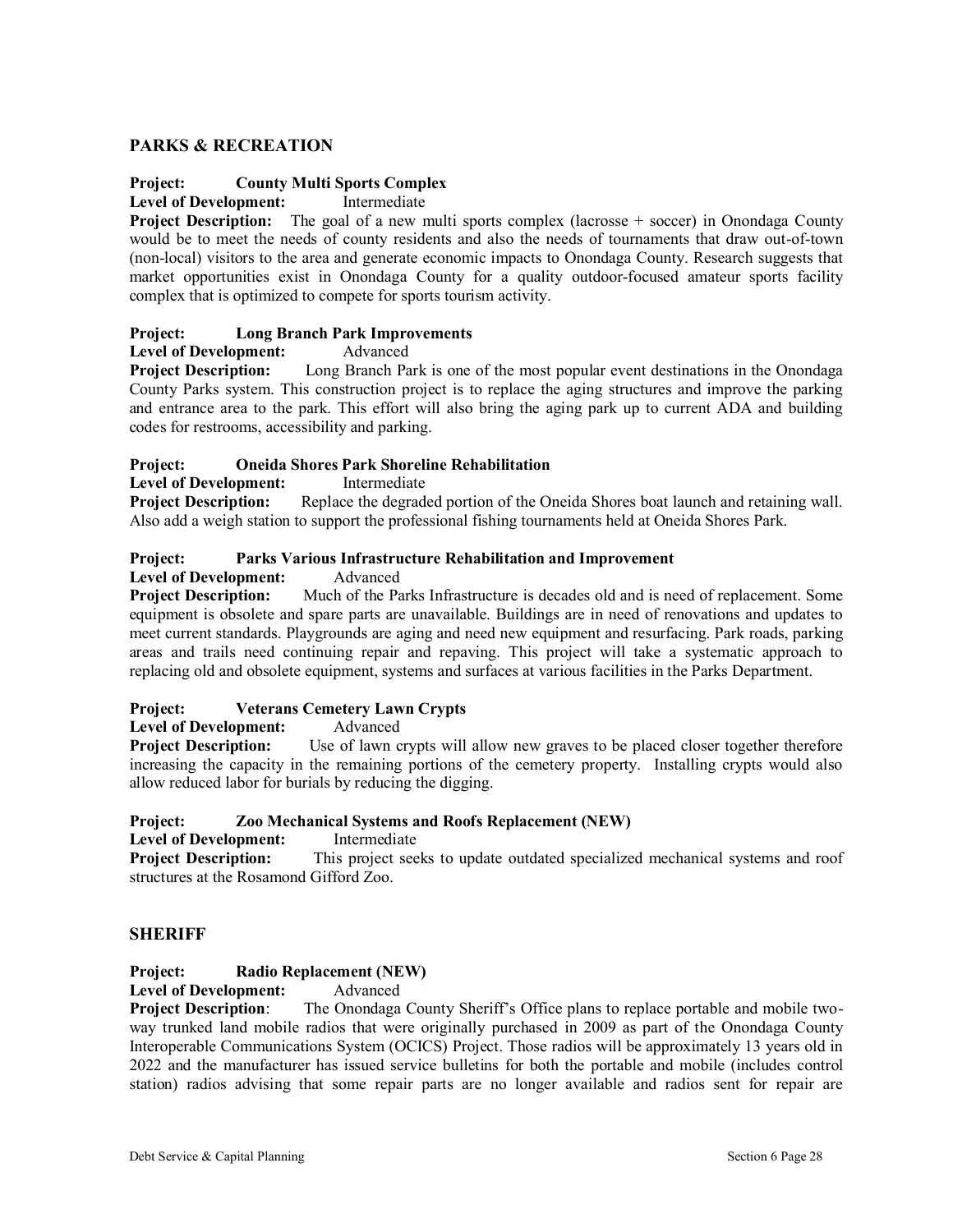#### **PARKS & RECREATION**

#### **Project: County Multi Sports Complex**

**Level of Development:** Intermediate

**Project Description:** The goal of a new multi sports complex (lacrosse + soccer) in Onondaga County would be to meet the needs of county residents and also the needs of tournaments that draw out-of-town (non-local) visitors to the area and generate economic impacts to Onondaga County. Research suggests that market opportunities exist in Onondaga County for a quality outdoor-focused amateur sports facility complex that is optimized to compete for sports tourism activity.

#### **Project: Long Branch Park Improvements**

**Level of Development:** Advanced

**Project Description:** Long Branch Park is one of the most popular event destinations in the Onondaga County Parks system. This construction project is to replace the aging structures and improve the parking and entrance area to the park. This effort will also bring the aging park up to current ADA and building codes for restrooms, accessibility and parking.

#### **Project: Oneida Shores Park Shoreline Rehabilitation**

**Level of Development:** Intermediate

**Project Description:** Replace the degraded portion of the Oneida Shores boat launch and retaining wall. Also add a weigh station to support the professional fishing tournaments held at Oneida Shores Park.

# **Project: Parks Various Infrastructure Rehabilitation and Improvement**

#### **Level of Development:**

**Project Description:** Much of the Parks Infrastructure is decades old and is need of replacement. Some equipment is obsolete and spare parts are unavailable. Buildings are in need of renovations and updates to meet current standards. Playgrounds are aging and need new equipment and resurfacing. Park roads, parking areas and trails need continuing repair and repaving. This project will take a systematic approach to replacing old and obsolete equipment, systems and surfaces at various facilities in the Parks Department.

#### **Project: Veterans Cemetery Lawn Crypts**

**Level of Development:** Advanced

**Project Description:** Use of lawn crypts will allow new graves to be placed closer together therefore increasing the capacity in the remaining portions of the cemetery property. Installing crypts would also allow reduced labor for burials by reducing the digging.

#### **Project: Zoo Mechanical Systems and Roofs Replacement (NEW)**

**Level of Development:** Intermediate

**Project Description:** This project seeks to update outdated specialized mechanical systems and roof structures at the Rosamond Gifford Zoo.

#### **SHERIFF**

#### **Project: Radio Replacement (NEW)**

**Level of Development:** Advanced

**Project Description**: The Onondaga County Sheriff's Office plans to replace portable and mobile twoway trunked land mobile radios that were originally purchased in 2009 as part of the Onondaga County Interoperable Communications System (OCICS) Project. Those radios will be approximately 13 years old in 2022 and the manufacturer has issued service bulletins for both the portable and mobile (includes control station) radios advising that some repair parts are no longer available and radios sent for repair are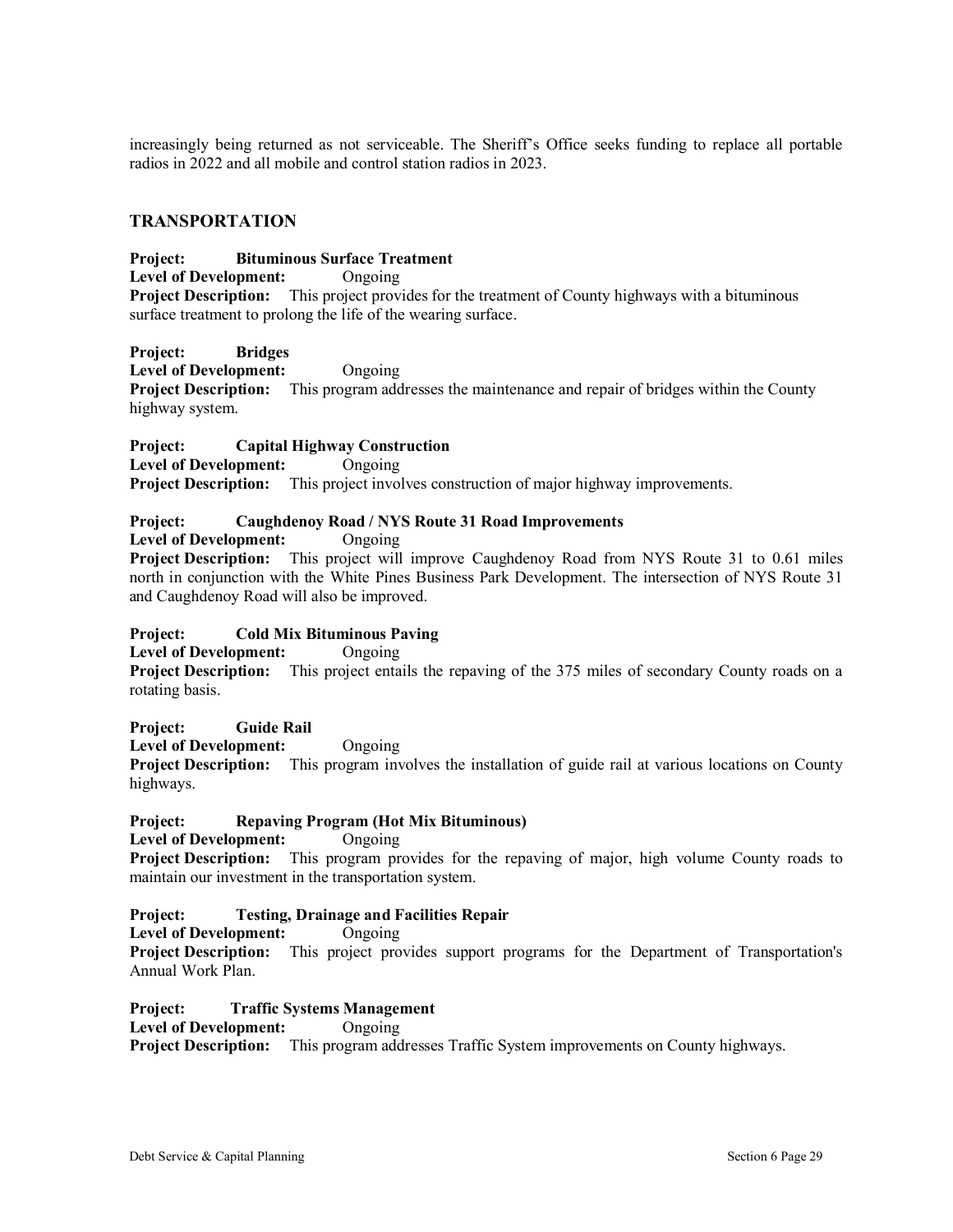increasingly being returned as not serviceable. The Sheriff's Office seeks funding to replace all portable radios in 2022 and all mobile and control station radios in 2023.

#### **TRANSPORTATION**

**Project: Bituminous Surface Treatment** 

**Level of Development:** Ongoing **Project Description:** This project provides for the treatment of County highways with a bituminous surface treatment to prolong the life of the wearing surface.

**Project: Bridges Level of Development:** Ongoing **Project Description:** This program addresses the maintenance and repair of bridges within the County highway system.

**Project: Capital Highway Construction Level of Development:** Ongoing **Project Description:** This project involves construction of major highway improvements.

#### **Project: Caughdenoy Road / NYS Route 31 Road Improvements**

**Level of Development:** Ongoing

**Project Description:** This project will improve Caughdenoy Road from NYS Route 31 to 0.61 miles north in conjunction with the White Pines Business Park Development. The intersection of NYS Route 31 and Caughdenoy Road will also be improved.

**Project: Cold Mix Bituminous Paving** 

**Level of Development:** Ongoing

**Project Description:** This project entails the repaving of the 375 miles of secondary County roads on a rotating basis.

**Project: Guide Rail** 

**Level of Development:** Ongoing

**Project Description:** This program involves the installation of guide rail at various locations on County highways.

**Project: Repaving Program (Hot Mix Bituminous)** 

**Level of Development:** Ongoing **Project Description:** This program provides for the repaving of major, high volume County roads to maintain our investment in the transportation system.

**Project: Testing, Drainage and Facilities Repair** 

Level of Development: Ongoing

**Project Description:** This project provides support programs for the Department of Transportation's Annual Work Plan.

**Project: Traffic Systems Management** 

**Level of Development:** Ongoing **Project Description:** This program addresses Traffic System improvements on County highways.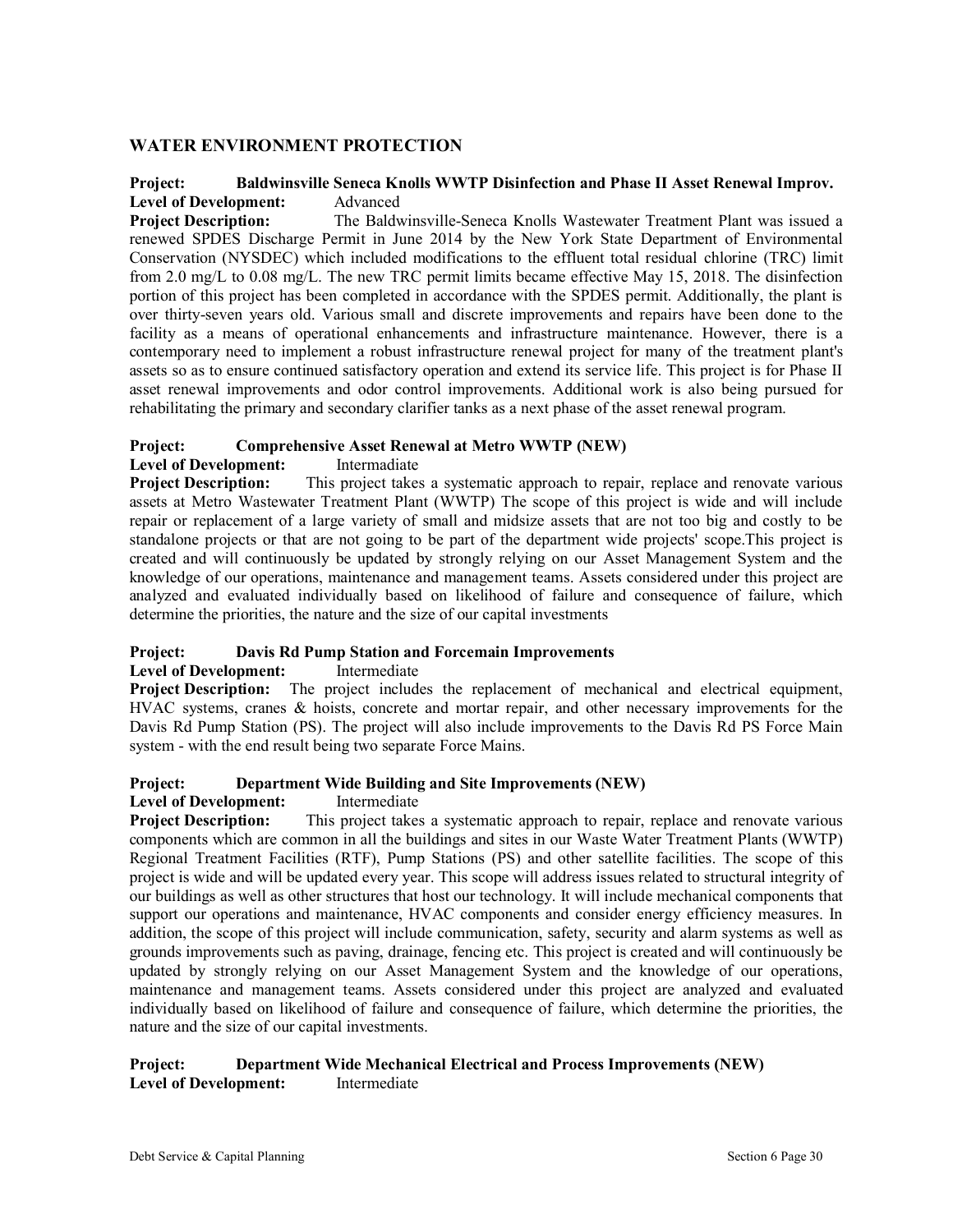#### **WATER ENVIRONMENT PROTECTION**

#### **Project: Baldwinsville Seneca Knolls WWTP Disinfection and Phase II Asset Renewal Improv. Level of Development:** Advanced

**Project Description:** The Baldwinsville-Seneca Knolls Wastewater Treatment Plant was issued a renewed SPDES Discharge Permit in June 2014 by the New York State Department of Environmental Conservation (NYSDEC) which included modifications to the effluent total residual chlorine (TRC) limit from 2.0 mg/L to 0.08 mg/L. The new TRC permit limits became effective May 15, 2018. The disinfection portion of this project has been completed in accordance with the SPDES permit. Additionally, the plant is over thirty-seven years old. Various small and discrete improvements and repairs have been done to the facility as a means of operational enhancements and infrastructure maintenance. However, there is a contemporary need to implement a robust infrastructure renewal project for many of the treatment plant's assets so as to ensure continued satisfactory operation and extend its service life. This project is for Phase II asset renewal improvements and odor control improvements. Additional work is also being pursued for rehabilitating the primary and secondary clarifier tanks as a next phase of the asset renewal program.

#### **Project: Comprehensive Asset Renewal at Metro WWTP (NEW)**

#### **Level of Development:** Intermadiate

**Project Description:** This project takes a systematic approach to repair, replace and renovate various assets at Metro Wastewater Treatment Plant (WWTP) The scope of this project is wide and will include repair or replacement of a large variety of small and midsize assets that are not too big and costly to be standalone projects or that are not going to be part of the department wide projects' scope.This project is created and will continuously be updated by strongly relying on our Asset Management System and the knowledge of our operations, maintenance and management teams. Assets considered under this project are analyzed and evaluated individually based on likelihood of failure and consequence of failure, which determine the priorities, the nature and the size of our capital investments

#### **Project: Davis Rd Pump Station and Forcemain Improvements**

#### Level of Development: Intermediate

**Project Description:** The project includes the replacement of mechanical and electrical equipment, HVAC systems, cranes & hoists, concrete and mortar repair, and other necessary improvements for the Davis Rd Pump Station (PS). The project will also include improvements to the Davis Rd PS Force Main system - with the end result being two separate Force Mains.

#### **Project: Department Wide Building and Site Improvements (NEW)**

#### Level of Development: Intermediate

**Project Description:** This project takes a systematic approach to repair, replace and renovate various components which are common in all the buildings and sites in our Waste Water Treatment Plants (WWTP) Regional Treatment Facilities (RTF), Pump Stations (PS) and other satellite facilities. The scope of this project is wide and will be updated every year. This scope will address issues related to structural integrity of our buildings as well as other structures that host our technology. It will include mechanical components that support our operations and maintenance, HVAC components and consider energy efficiency measures. In addition, the scope of this project will include communication, safety, security and alarm systems as well as grounds improvements such as paving, drainage, fencing etc. This project is created and will continuously be updated by strongly relying on our Asset Management System and the knowledge of our operations, maintenance and management teams. Assets considered under this project are analyzed and evaluated individually based on likelihood of failure and consequence of failure, which determine the priorities, the nature and the size of our capital investments.

#### **Project: Department Wide Mechanical Electrical and Process Improvements (NEW)**  Level of Development: Intermediate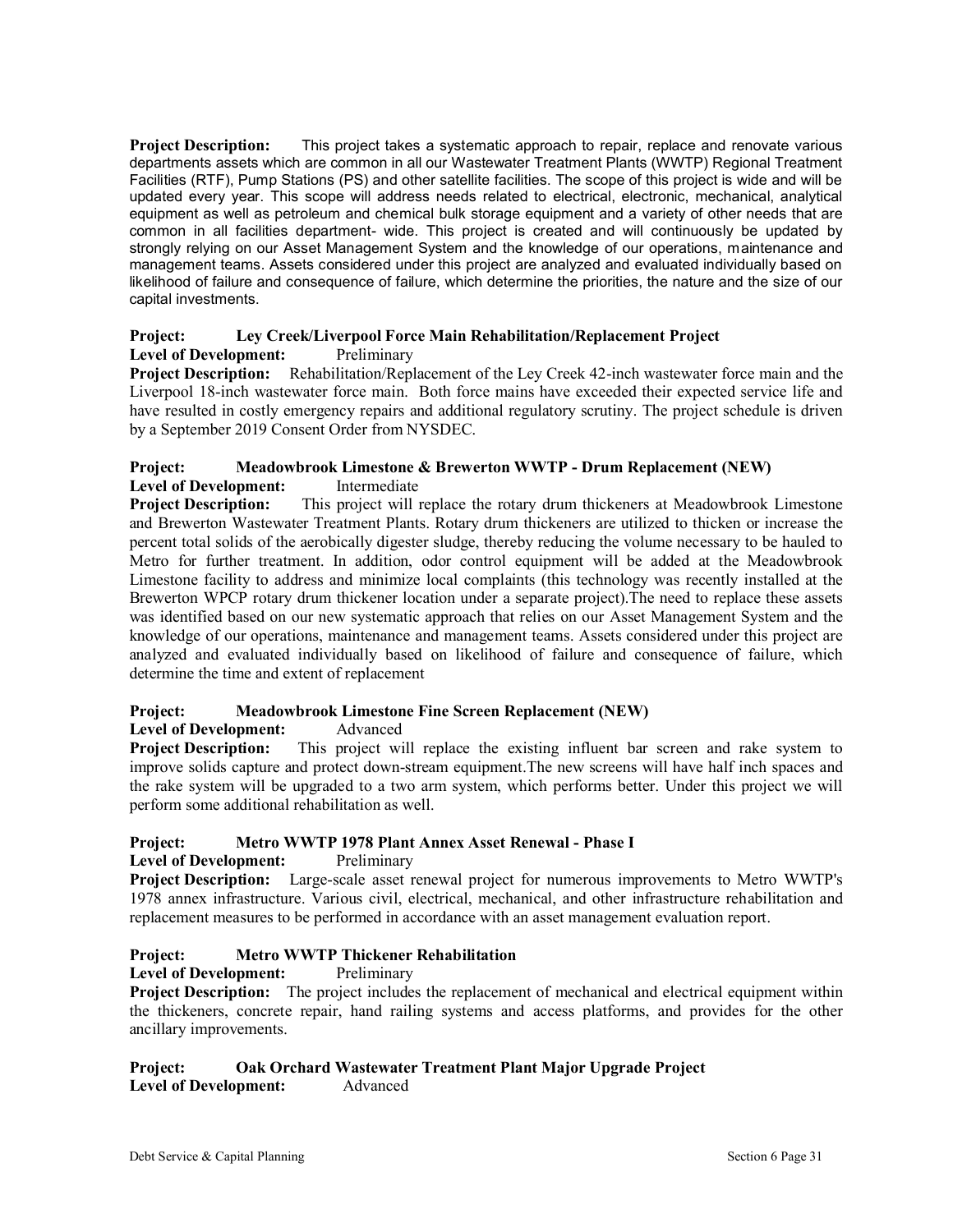**Project Description:** This project takes a systematic approach to repair, replace and renovate various departments assets which are common in all our Wastewater Treatment Plants (WWTP) Regional Treatment Facilities (RTF), Pump Stations (PS) and other satellite facilities. The scope of this project is wide and will be updated every year. This scope will address needs related to electrical, electronic, mechanical, analytical equipment as well as petroleum and chemical bulk storage equipment and a variety of other needs that are common in all facilities department- wide. This project is created and will continuously be updated by strongly relying on our Asset Management System and the knowledge of our operations, maintenance and management teams. Assets considered under this project are analyzed and evaluated individually based on likelihood of failure and consequence of failure, which determine the priorities, the nature and the size of our capital investments.

#### **Project: Ley Creek/Liverpool Force Main Rehabilitation/Replacement Project**  Level of Development: Preliminary

**Project Description:** Rehabilitation/Replacement of the Ley Creek 42-inch wastewater force main and the Liverpool 18-inch wastewater force main. Both force mains have exceeded their expected service life and have resulted in costly emergency repairs and additional regulatory scrutiny. The project schedule is driven by a September 2019 Consent Order from NYSDEC.

#### **Project: Meadowbrook Limestone & Brewerton WWTP - Drum Replacement (NEW)**  Level of Development: Intermediate

**Project Description:** This project will replace the rotary drum thickeners at Meadowbrook Limestone and Brewerton Wastewater Treatment Plants. Rotary drum thickeners are utilized to thicken or increase the percent total solids of the aerobically digester sludge, thereby reducing the volume necessary to be hauled to Metro for further treatment. In addition, odor control equipment will be added at the Meadowbrook Limestone facility to address and minimize local complaints (this technology was recently installed at the Brewerton WPCP rotary drum thickener location under a separate project).The need to replace these assets was identified based on our new systematic approach that relies on our Asset Management System and the knowledge of our operations, maintenance and management teams. Assets considered under this project are analyzed and evaluated individually based on likelihood of failure and consequence of failure, which determine the time and extent of replacement

#### **Project: Meadowbrook Limestone Fine Screen Replacement (NEW)**

**Level of Development:** Advanced

**Project Description:** This project will replace the existing influent bar screen and rake system to improve solids capture and protect down-stream equipment.The new screens will have half inch spaces and the rake system will be upgraded to a two arm system, which performs better. Under this project we will perform some additional rehabilitation as well.

#### **Project: Metro WWTP 1978 Plant Annex Asset Renewal - Phase I**

#### Level of Development: Preliminary

**Project Description:** Large-scale asset renewal project for numerous improvements to Metro WWTP's 1978 annex infrastructure. Various civil, electrical, mechanical, and other infrastructure rehabilitation and replacement measures to be performed in accordance with an asset management evaluation report.

#### **Project: Metro WWTP Thickener Rehabilitation**

Level of Development: Preliminary

**Project Description:** The project includes the replacement of mechanical and electrical equipment within the thickeners, concrete repair, hand railing systems and access platforms, and provides for the other ancillary improvements.

**Project: Oak Orchard Wastewater Treatment Plant Major Upgrade Project Level of Development:** Advanced